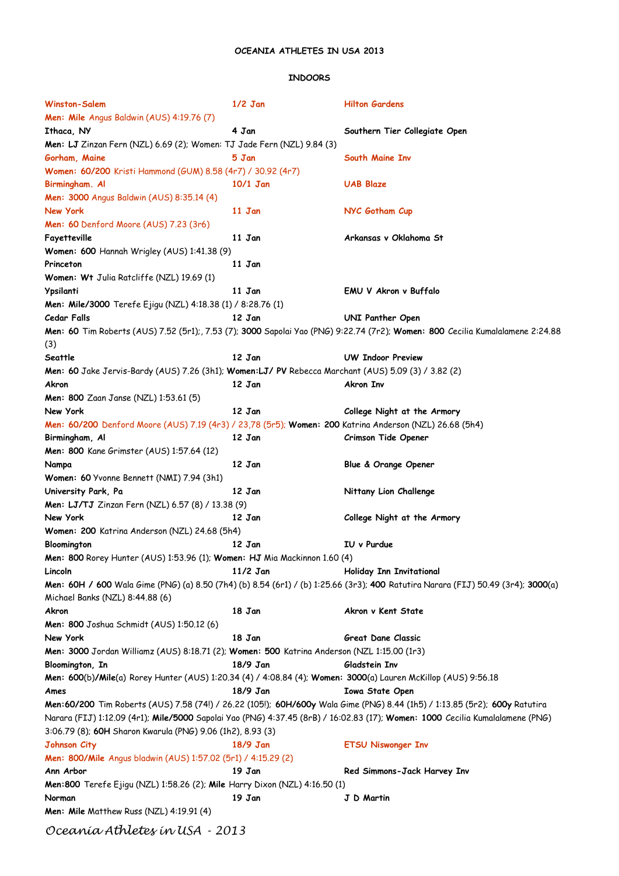## **OCEANIA ATHLETES IN USA 2013**

## **INDOORS**

| Winston-Salem                                                                                                  | $1/2$ Jan  | <b>Hilton Gardens</b>                                                                                                            |
|----------------------------------------------------------------------------------------------------------------|------------|----------------------------------------------------------------------------------------------------------------------------------|
| Men: Mile Angus Baldwin (AUS) 4:19.76 (7)                                                                      |            |                                                                                                                                  |
| Ithaca, NY                                                                                                     | 4 Jan      | Southern Tier Collegiate Open                                                                                                    |
| Men: LJ Zinzan Fern (NZL) 6.69 (2); Women: TJ Jade Fern (NZL) 9.84 (3)                                         |            |                                                                                                                                  |
| Gorham, Maine                                                                                                  | 5 Jan      | South Maine Inv                                                                                                                  |
| Women: 60/200 Kristi Hammond (GUM) 8.58 (4r7) / 30.92 (4r7)                                                    |            |                                                                                                                                  |
| Birmingham. Al                                                                                                 | $10/1$ Jan | <b>UAB Blaze</b>                                                                                                                 |
| Men: 3000 Angus Baldwin (AUS) 8:35.14 (4)                                                                      |            |                                                                                                                                  |
| New York                                                                                                       | 11 Jan     | NYC Gotham Cup                                                                                                                   |
| Men: 60 Denford Moore (AUS) 7.23 (3r6)                                                                         |            |                                                                                                                                  |
| Fayetteville                                                                                                   | 11 Jan     | Arkansas v Oklahoma St                                                                                                           |
| Women: 600 Hannah Wrigley (AUS) 1:41.38 (9)                                                                    |            |                                                                                                                                  |
| Princeton                                                                                                      | 11 Jan     |                                                                                                                                  |
| Women: Wt Julia Ratcliffe (NZL) 19.69 (1)                                                                      |            |                                                                                                                                  |
| Ypsilanti                                                                                                      | 11 Jan     | EMU V Akron v Buffalo                                                                                                            |
|                                                                                                                |            |                                                                                                                                  |
| <b>Men: Mile/3000</b> Terefe Ejigu (NZL) 4:18.38 (1) / 8:28.76 (1)                                             |            |                                                                                                                                  |
| Cedar Falls                                                                                                    | 12 Jan     | UNI Panther Open                                                                                                                 |
| (3)                                                                                                            |            | Men: 60 Tim Roberts (AUS) 7.52 (5r1); 7.53 (7); 3000 Sapolai Yao (PNG) 9:22.74 (7r2); Women: 800 Cecilia Kumalalamene 2:24.88    |
| Seattle                                                                                                        | 12 Jan     | <b>UW Indoor Preview</b>                                                                                                         |
| Men: 60 Jake Jervis-Bardy (AUS) 7.26 (3h1); Women:LJ/ PV Rebecca Marchant (AUS) 5.09 (3) / 3.82 (2)            |            |                                                                                                                                  |
| Akron                                                                                                          | 12 Jan     | Akron Inv                                                                                                                        |
| Men: 800 Zaan Janse (NZL) 1:53.61 (5)                                                                          |            |                                                                                                                                  |
| New York                                                                                                       | 12 Jan     | College Night at the Armory                                                                                                      |
| Men: 60/200 Denford Moore (AUS) 7.19 (4r3) / 23,78 (5r5); Women: 200 Katrina Anderson (NZL) 26.68 (5h4)        |            |                                                                                                                                  |
| Birmingham, Al                                                                                                 | 12 Jan     | Crimson Tide Opener                                                                                                              |
| Men: 800 Kane Grimster (AUS) 1:57.64 (12)                                                                      |            |                                                                                                                                  |
| Nampa                                                                                                          | 12 Jan     | Blue & Orange Opener                                                                                                             |
| Women: 60 Yvonne Bennett (NMI) 7.94 (3h1)                                                                      |            |                                                                                                                                  |
| University Park, Pa                                                                                            | 12 Jan     | Nittany Lion Challenge                                                                                                           |
| Men: LJ/TJ Zinzan Fern (NZL) 6.57 (8) / 13.38 (9)                                                              |            |                                                                                                                                  |
| New York                                                                                                       |            | College Night at the Armory                                                                                                      |
|                                                                                                                | 12 Jan     |                                                                                                                                  |
| Women: 200 Katrina Anderson (NZL) 24.68 (5h4)                                                                  |            |                                                                                                                                  |
| Bloomington                                                                                                    | 12 Jan     | IU v Purdue                                                                                                                      |
| <b>Men: 800</b> Rorey Hunter (AUS) 1:53.96 (1); Women: HJ Mia Mackinnon 1.60 (4)                               |            |                                                                                                                                  |
| Lincoln                                                                                                        | $11/2$ Jan | Holiday Inn Invitational                                                                                                         |
| Michael Banks (NZL) 8:44.88 (6)                                                                                |            | Men: 60H / 600 Wala Gime (PNG) (a) 8.50 (7h4) (b) 8.54 (6r1) / (b) 1:25.66 (3r3); 400 Ratutira Narara (FIJ) 50.49 (3r4); 3000(a) |
| Akron                                                                                                          | 18 Jan     | Akron v Kent State                                                                                                               |
| <b>Men: 800</b> Joshua Schmidt (AUS) 1:50.12 (6)                                                               |            |                                                                                                                                  |
| New York                                                                                                       | 18 Jan     | Great Dane Classic                                                                                                               |
| Men: 3000 Jordan Williamz (AUS) 8:18.71 (2); Women: 500 Katrina Anderson (NZL 1:15.00 (1r3)                    |            |                                                                                                                                  |
| Bloomington, In                                                                                                | 18/9 Jan   | Gladstein Inv                                                                                                                    |
| Men: 600(b)/Mile(a) Rorey Hunter (AUS) 1:20.34 (4) / 4:08.84 (4); Women: 3000(a) Lauren McKillop (AUS) 9:56.18 |            |                                                                                                                                  |
| Ames                                                                                                           | 18/9 Jan   | <b>Iowa State Open</b>                                                                                                           |
|                                                                                                                |            | Men:60/200 Tim Roberts (AUS) 7.58 (74!) / 26.22 (105!); 60H/600y Wala Gime (PNG) 8.44 (1h5) / 1:13.85 (5r2); 600y Ratutira       |
|                                                                                                                |            | Narara (FIJ) 1:12.09 (4r1); Mile/5000 Sapolai Yao (PNG) 4:37.45 (8rB) / 16:02.83 (17); Women: 1000 Cecilia Kumalalamene (PNG)    |
| 3:06.79 (8); 60H Sharon Kwarula (PNG) 9.06 (1h2), 8.93 (3)                                                     |            |                                                                                                                                  |
| Johnson City                                                                                                   | 18/9 Jan   | <b>ETSU Niswonger Inv</b>                                                                                                        |
| Men: 800/Mile Angus bladwin (AUS) 1:57.02 (5r1) / 4:15.29 (2)                                                  |            |                                                                                                                                  |
| Ann Arbor                                                                                                      | 19 Jan     | Red Simmons-Jack Harvey Inv                                                                                                      |
| <b>Men:800</b> Terefe Ejigu (NZL) 1:58.26 (2); <b>Mile</b> Harry Dixon (NZL) 4:16.50 (1)                       |            |                                                                                                                                  |
| Norman                                                                                                         | 19 Jan     | J D Martin                                                                                                                       |
| Men: Mile Matthew Russ (NZL) 4:19.91 (4)                                                                       |            |                                                                                                                                  |
|                                                                                                                |            |                                                                                                                                  |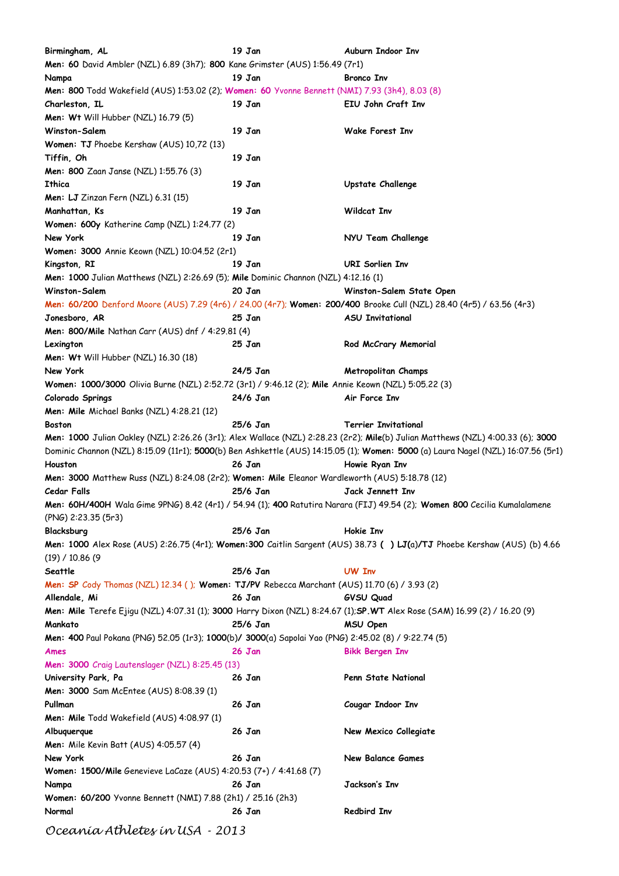**Birmingham, AL 19 Jan Auburn Indoor Inv Men: 60** David Ambler (NZL) 6.89 (3h7); **800** Kane Grimster (AUS) 1:56.49 (7r1) **Nampa 19 Jan Bronco Inv Men: 800** Todd Wakefield (AUS) 1:53.02 (2); **Women: 60** Yvonne Bennett (NMI) 7.93 (3h4), 8.03 (8) **Charleston, IL 19 Jan EIU John Craft Inv Men: Wt** Will Hubber (NZL) 16.79 (5) **Winston-Salem 19 Jan Wake Forest Inv Women: TJ** Phoebe Kershaw (AUS) 10,72 (13) **Tiffin, Oh 19 Jan Men: 800** Zaan Janse (NZL) 1:55.76 (3) **Ithica 19 Jan Upstate Challenge Men: LJ** Zinzan Fern (NZL) 6.31 (15) **Manhattan, Ks 19 Jan Wildcat Inv Women: 600y** Katherine Camp (NZL) 1:24.77 (2) **New York 19 Jan NYU Team Challenge Women: 3000** Annie Keown (NZL) 10:04.52 (2r1) **Kingston, RI 19 Jan URI Sorlien Inv Men: 1000** Julian Matthews (NZL) 2:26.69 (5); **Mile** Dominic Channon (NZL) 4:12.16 (1) **Winston-Salem 20 Jan Winston-Salem State Open Men: 60/200** Denford Moore (AUS) 7.29 (4r6) / 24.00 (4r7); **Women: 200/400** Brooke Cull (NZL) 28.40 (4r5) / 63.56 (4r3) **Jonesboro, AR 25 Jan ASU Invitational Men: 800/Mile** Nathan Carr (AUS) dnf / 4:29.81 (4) **Lexington 25 Jan Rod McCrary Memorial Men: Wt** Will Hubber (NZL) 16.30 (18) **New York 24/5 Jan Metropolitan Champs Women: 1000/3000** Olivia Burne (NZL) 2:52.72 (3r1) / 9:46.12 (2); **Mile** Annie Keown (NZL) 5:05.22 (3) **Colorado Springs 24/6 Jan Air Force Inv Men: Mile** Michael Banks (NZL) 4:28.21 (12) **Boston 25/6 Jan Terrier Invitational Men: 1000** Julian Oakley (NZL) 2:26.26 (3r1); Alex Wallace (NZL) 2:28.23 (2r2); **Mile**(b) Julian Matthews (NZL) 4:00.33 (6); **3000** Dominic Channon (NZL) 8:15.09 (11r1); **5000**(b) Ben Ashkettle (AUS) 14:15.05 (1); **Women: 5000** (a) Laura Nagel (NZL) 16:07.56 (5r1) **Houston 26 Jan Howie Ryan Inv Men: 3000** Matthew Russ (NZL) 8:24.08 (2r2); **Women: Mile** Eleanor Wardleworth (AUS) 5:18.78 (12) **Cedar Falls 25/6 Jan Jack Jennett Inv Men: 60H/400H** Wala Gime 9PNG) 8.42 (4r1) / 54.94 (1); **400** Ratutira Narara (FIJ) 49.54 (2); **Women 800** Cecilia Kumalalamene (PNG) 2:23.35 (5r3) **Blacksburg 25/6 Jan Hokie Inv Men: 1000** Alex Rose (AUS) 2:26.75 (4r1); **Women:300** Caitlin Sargent (AUS) 38.73 **( ) LJ(**a)**/TJ** Phoebe Kershaw (AUS) (b) 4.66 (19) / 10.86 (9 **Seattle 25/6 Jan UW Inv Men: SP** Cody Thomas (NZL) 12.34 ( ); **Women: TJ/PV** Rebecca Marchant (AUS) 11.70 (6) / 3.93 (2) **Allendale, Mi 26 Jan GVSU Quad Men: Mile** Terefe Ejigu (NZL) 4:07.31 (1); **3000** Harry Dixon (NZL) 8:24.67 (1);**SP.WT** Alex Rose (SAM) 16.99 (2) / 16.20 (9) **Mankato 25/6 Jan MSU Open Men: 400** Paul Pokana (PNG) 52.05 (1r3); **1000**(b)**/ 3000**(a) Sapolai Yao (PNG) 2:45.02 (8) / 9:22.74 (5) **Ames 26 Jan Bikk Bergen Inv Men: 3000** Craig Lautenslager (NZL) 8:25.45 (13) **University Park, Pa 26 Jan Penn State National Men: 3000** Sam McEntee (AUS) 8:08.39 (1) **Pullman 26 Jan Cougar Indoor Inv Men: Mile** Todd Wakefield (AUS) 4:08.97 (1) **Albuquerque 26 Jan New Mexico Collegiate Men:** Mile Kevin Batt (AUS) 4:05.57 (4) **New York 26 Jan New Balance Games Women: 1500/Mile** Genevieve LaCaze (AUS) 4:20.53 (7+) / 4:41.68 (7) **Nampa 26 Jan Jackson's Inv Women: 60/200** Yvonne Bennett (NMI) 7.88 (2h1) / 25.16 (2h3) **Normal 26 Jan Redbird Inv**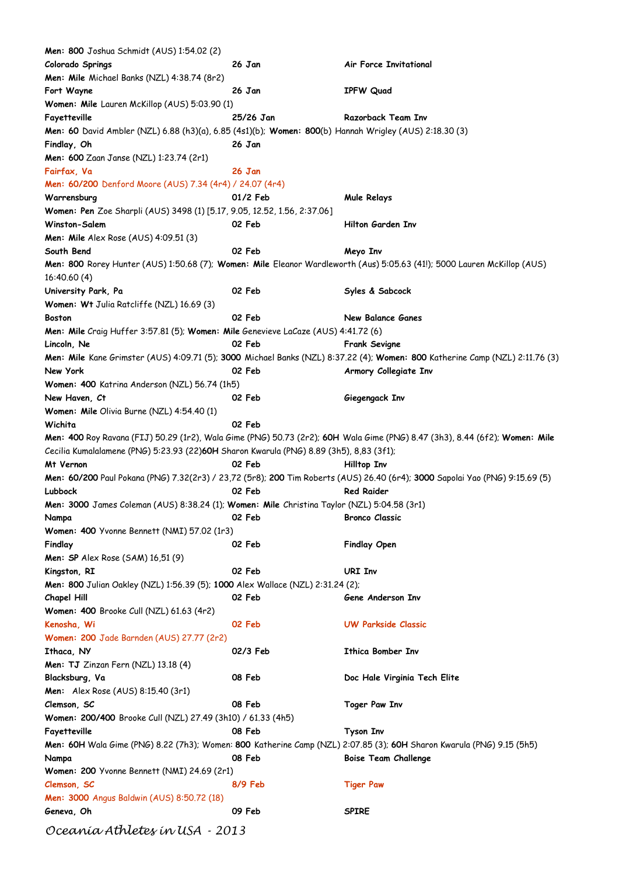| Men: 800 Joshua Schmidt (AUS) 1:54.02 (2)                                                              |           |                                                                                                                              |
|--------------------------------------------------------------------------------------------------------|-----------|------------------------------------------------------------------------------------------------------------------------------|
| Colorado Springs                                                                                       | 26 Jan    | Air Force Invitational                                                                                                       |
| Men: Mile Michael Banks (NZL) 4:38.74 (8r2)                                                            |           |                                                                                                                              |
| Fort Wayne                                                                                             | 26 Jan    | <b>IPFW Quad</b>                                                                                                             |
| Women: Mile Lauren McKillop (AUS) 5:03.90 (1)                                                          |           |                                                                                                                              |
| Fayetteville                                                                                           | 25/26 Jan | Razorback Team Inv                                                                                                           |
| Men: 60 David Ambler (NZL) 6.88 (h3)(a), 6.85 (4s1)(b); Women: 800(b) Hannah Wrigley (AUS) 2:18.30 (3) |           |                                                                                                                              |
| Findlay, Oh                                                                                            | 26 Jan    |                                                                                                                              |
|                                                                                                        |           |                                                                                                                              |
| Men: 600 Zaan Janse (NZL) 1:23.74 (2r1)                                                                |           |                                                                                                                              |
| Fairfax, Va                                                                                            | 26 Jan    |                                                                                                                              |
| Men: 60/200 Denford Moore (AUS) 7.34 (4r4) / 24.07 (4r4)                                               |           |                                                                                                                              |
| Warrensburg                                                                                            | 01/2 Feb  | <b>Mule Relays</b>                                                                                                           |
| Women: Pen Zoe Sharpli (AUS) 3498 (1) [5.17, 9.05, 12.52, 1.56, 2:37.06]                               |           |                                                                                                                              |
| Winston-Salem                                                                                          | 02 Feb    | Hilton Garden Inv                                                                                                            |
| <b>Men: Mile</b> Alex Rose $(AUS)$ 4:09.51 $(3)$                                                       |           |                                                                                                                              |
| South Bend                                                                                             | 02 Feb    | Meyo Inv                                                                                                                     |
|                                                                                                        |           | Men: 800 Rorey Hunter (AUS) 1:50.68 (7); Women: Mile Eleanor Wardleworth (Aus) 5:05.63 (41!); 5000 Lauren McKillop (AUS)     |
| 16:40.60 (4)                                                                                           |           |                                                                                                                              |
| University Park, Pa                                                                                    | 02 Feb    | Syles & Sabcock                                                                                                              |
| Women: Wt Julia Ratcliffe (NZL) 16.69 (3)                                                              |           |                                                                                                                              |
| <b>Boston</b>                                                                                          | 02 Feb    | <b>New Balance Ganes</b>                                                                                                     |
| Men: Mile Craig Huffer 3:57.81 (5); Women: Mile Genevieve LaCaze (AUS) 4:41.72 (6)                     |           |                                                                                                                              |
|                                                                                                        | 02 Feb    |                                                                                                                              |
| Lincoln, Ne                                                                                            |           | <b>Frank Sevigne</b>                                                                                                         |
|                                                                                                        |           | Men: Mile Kane Grimster (AUS) 4:09.71 (5); 3000 Michael Banks (NZL) 8:37.22 (4); Women: 800 Katherine Camp (NZL) 2:11.76 (3) |
| New York                                                                                               | 02 Feb    | Armory Collegiate Inv                                                                                                        |
| Women: 400 Katrina Anderson (NZL) 56.74 (1h5)                                                          |           |                                                                                                                              |
| New Haven, Ct                                                                                          | 02 Feb    | Giegengack Inv                                                                                                               |
| Women: Mile Olivia Burne (NZL) 4:54.40 (1)                                                             |           |                                                                                                                              |
| Wichita                                                                                                | 02 Feb    |                                                                                                                              |
|                                                                                                        |           | Men: 400 Roy Ravana (FIJ) 50.29 (1r2), Wala Gime (PNG) 50.73 (2r2); 60H Wala Gime (PNG) 8.47 (3h3), 8.44 (6f2); Women: Mile  |
| Cecilia Kumalalamene (PNG) 5:23.93 (22)60H Sharon Kwarula (PNG) 8.89 (3h5), 8,83 (3f1);                |           |                                                                                                                              |
| Mt Vernon                                                                                              | 02 Feb    | Hilltop Inv                                                                                                                  |
|                                                                                                        |           | Men: 60/200 Paul Pokana (PNG) 7.32(2r3) / 23,72 (5r8); 200 Tim Roberts (AUS) 26.40 (6r4); 3000 Sapolai Yao (PNG) 9:15.69 (5) |
| Lubbock                                                                                                | 02 Feb    | <b>Red Raider</b>                                                                                                            |
| Men: 3000 James Coleman (AUS) 8:38.24 (1); Women: Mile Christina Taylor (NZL) 5:04.58 (3r1)            |           |                                                                                                                              |
| Nampa                                                                                                  | 02 Feb    | <b>Bronco Classic</b>                                                                                                        |
|                                                                                                        |           |                                                                                                                              |
| Women: 400 Yvonne Bennett (NMI) 57.02 (1r3)                                                            |           |                                                                                                                              |
| Findlay                                                                                                | 02 Feb    | <b>Findlay Open</b>                                                                                                          |
| <b>Men: SP</b> Alex Rose (SAM) 16,51 (9)                                                               |           |                                                                                                                              |
| Kingston, RI                                                                                           | 02 Feb    | <b>URI Inv</b>                                                                                                               |
| Men: 800 Julian Oakley (NZL) 1:56.39 (5); 1000 Alex Wallace (NZL) 2:31.24 (2);                         |           |                                                                                                                              |
| Chapel Hill                                                                                            | 02 Feb    | Gene Anderson Inv                                                                                                            |
| Women: 400 Brooke Cull (NZL) 61.63 (4r2)                                                               |           |                                                                                                                              |
| Kenosha, Wi                                                                                            | 02 Feb    | <b>UW Parkside Classic</b>                                                                                                   |
| Women: 200 Jade Barnden (AUS) 27.77 (2r2)                                                              |           |                                                                                                                              |
| Ithaca, NY                                                                                             | 02/3 Feb  | Ithica Bomber Inv                                                                                                            |
| <b>Men: TJ</b> Zinzan Fern (NZL) 13.18 (4)                                                             |           |                                                                                                                              |
| Blacksburg, Va                                                                                         | 08 Feb    | Doc Hale Virginia Tech Elite                                                                                                 |
| Men: Alex Rose (AUS) 8:15.40 (3r1)                                                                     |           |                                                                                                                              |
|                                                                                                        |           |                                                                                                                              |
| Clemson, SC                                                                                            | 08 Feb    | Toger Paw Inv                                                                                                                |
| Women: 200/400 Brooke Cull (NZL) 27.49 (3h10) / 61.33 (4h5)                                            |           |                                                                                                                              |
| Fayetteville                                                                                           | 08 Feb    | Tyson Inv                                                                                                                    |
|                                                                                                        |           | Men: 60H Wala Gime (PNG) 8.22 (7h3); Women: 800 Katherine Camp (NZL) 2:07.85 (3); 60H Sharon Kwarula (PNG) 9.15 (5h5)        |
| Nampa                                                                                                  | 08 Feb    | <b>Boise Team Challenge</b>                                                                                                  |
| Women: 200 Yvonne Bennett (NMI) 24.69 (2r1)                                                            |           |                                                                                                                              |
| Clemson, SC                                                                                            | 8/9 Feb   | <b>Tiger Paw</b>                                                                                                             |
| <b>Men: 3000</b> Angus Baldwin (AUS) 8:50.72 (18)                                                      |           |                                                                                                                              |
| Geneva, Oh                                                                                             | 09 Feb    | <b>SPIRE</b>                                                                                                                 |
|                                                                                                        |           |                                                                                                                              |
| Oceanía Athletes ín USA - 2013                                                                         |           |                                                                                                                              |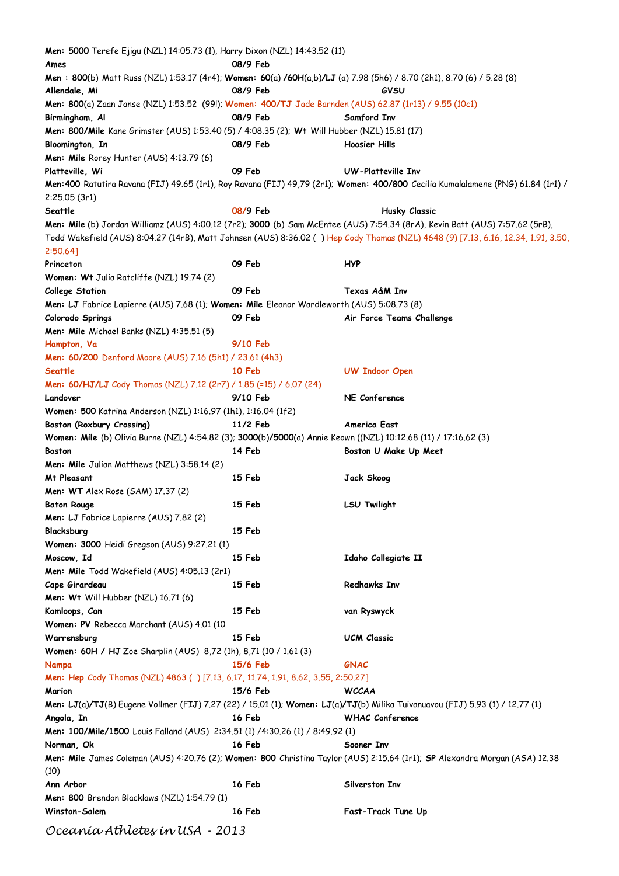| <b>Men: 5000</b> Terefe Ejigu (NZL) 14:05.73 (1), Harry Dixon (NZL) 14:43.52 (11)                                     |          |                                                                                                                                   |
|-----------------------------------------------------------------------------------------------------------------------|----------|-----------------------------------------------------------------------------------------------------------------------------------|
| Ames                                                                                                                  | 08/9 Feb |                                                                                                                                   |
| Men: 800(b) Matt Russ (NZL) 1:53.17 (4r4); Women: 60(a) /60H(a,b)/LJ (a) 7.98 (5h6) / 8.70 (2h1), 8.70 (6) / 5.28 (8) |          |                                                                                                                                   |
| Allendale, Mi                                                                                                         | 08/9 Feb | GVSU                                                                                                                              |
| Men: 800(a) Zaan Janse (NZL) 1:53.52 (99!); Women: 400/TJ Jade Barnden (AUS) 62.87 (1r13) / 9.55 (10c1)               |          |                                                                                                                                   |
| Birmingham, Al                                                                                                        | 08/9 Feb | Samford Inv                                                                                                                       |
| Men: 800/Mile Kane Grimster (AUS) 1:53.40 (5) / 4:08.35 (2); Wt Will Hubber (NZL) 15.81 (17)                          |          |                                                                                                                                   |
| Bloomington, In                                                                                                       | 08/9 Feb | Hoosier Hills                                                                                                                     |
| Men: Mile Rorey Hunter (AUS) 4:13.79 (6)                                                                              |          |                                                                                                                                   |
| Platteville, Wi                                                                                                       | 09 Feb   | UW-Platteville Inv                                                                                                                |
|                                                                                                                       |          | Men:400 Ratutira Ravana (FIJ) 49.65 (1r1), Roy Ravana (FIJ) 49,79 (2r1); Women: 400/800 Cecilia Kumalalamene (PNG) 61.84 (1r1) /  |
| 2:25.05(3r1)                                                                                                          |          |                                                                                                                                   |
| Seattle                                                                                                               | 08/9 Feb | <b>Husky Classic</b>                                                                                                              |
|                                                                                                                       |          | Men: Mile (b) Jordan Williamz (AUS) 4:00.12 (7r2); 3000 (b) Sam McEntee (AUS) 7:54.34 (8rA), Kevin Batt (AUS) 7:57.62 (5rB),      |
|                                                                                                                       |          | Todd Wakefield (AUS) 8:04.27 (14rB), Matt Johnsen (AUS) 8:36.02 () Hep Cody Thomas (NZL) 4648 (9) [7.13, 6.16, 12.34, 1.91, 3.50, |
| 2:50.64]                                                                                                              |          |                                                                                                                                   |
| Princeton                                                                                                             | 09 Feb   | HYP                                                                                                                               |
| Women: Wt Julia Ratcliffe (NZL) 19.74 (2)                                                                             |          |                                                                                                                                   |
| <b>College Station</b>                                                                                                | 09 Feb   | Texas A&M Inv                                                                                                                     |
| Men: LJ Fabrice Lapierre (AUS) 7.68 (1); Women: Mile Eleanor Wardleworth (AUS) 5:08.73 (8)                            |          |                                                                                                                                   |
| Colorado Springs                                                                                                      | 09 Feb   | Air Force Teams Challenge                                                                                                         |
| Men: Mile Michael Banks (NZL) 4:35.51 (5)                                                                             |          |                                                                                                                                   |
| Hampton, Va                                                                                                           | 9/10 Feb |                                                                                                                                   |
|                                                                                                                       |          |                                                                                                                                   |
| Men: 60/200 Denford Moore (AUS) 7.16 (5h1) / 23.61 (4h3)                                                              |          |                                                                                                                                   |
| <b>Seattle</b>                                                                                                        | 10 Feb   | <b>UW Indoor Open</b>                                                                                                             |
| Men: 60/HJ/LJ Cody Thomas (NZL) 7.12 (2r7) / 1.85 (=15) / 6.07 (24)                                                   |          |                                                                                                                                   |
| Landover                                                                                                              | 9/10 Feb | NE Conference                                                                                                                     |
| Women: 500 Katrina Anderson (NZL) 1:16.97 (1h1), 1:16.04 (1f2)                                                        |          |                                                                                                                                   |
| Boston (Roxbury Crossing)                                                                                             | 11/2 Feb | America East                                                                                                                      |
| Women: Mile (b) Olivia Burne (NZL) 4:54.82 (3); 3000(b)/5000(a) Annie Keown ((NZL) 10:12.68 (11) / 17:16.62 (3)       |          |                                                                                                                                   |
| <b>Boston</b>                                                                                                         | 14 Feb   | Boston U Make Up Meet                                                                                                             |
| Men: Mile Julian Matthews (NZL) 3:58.14 (2)                                                                           |          |                                                                                                                                   |
| Mt Pleasant                                                                                                           | 15 Feb   | Jack Skoog                                                                                                                        |
| <b>Men: WT</b> Alex Rose (SAM) 17.37 (2)                                                                              |          |                                                                                                                                   |
| <b>Baton Rouge</b>                                                                                                    | 15 Feb   | <b>LSU Twilight</b>                                                                                                               |
| <b>Men: LJ</b> Fabrice Lapierre (AUS) 7.82 (2)                                                                        |          |                                                                                                                                   |
| Blacksburg                                                                                                            | 15 Feb   |                                                                                                                                   |
| Women: 3000 Heidi Gregson (AUS) 9:27.21 (1)                                                                           |          |                                                                                                                                   |
| Moscow, Id                                                                                                            | 15 Feb   | Idaho Collegiate II                                                                                                               |
| Men: Mile Todd Wakefield (AUS) 4:05.13 (2r1)                                                                          |          |                                                                                                                                   |
| Cape Girardeau                                                                                                        | 15 Feb   | <b>Redhawks Inv</b>                                                                                                               |
| Men: Wt Will Hubber (NZL) 16.71 (6)                                                                                   |          |                                                                                                                                   |
| Kamloops, Can                                                                                                         | 15 Feb   | van Ryswyck                                                                                                                       |
| Women: PV Rebecca Marchant (AUS) 4.01 (10                                                                             |          |                                                                                                                                   |
| Warrensburg                                                                                                           | 15 Feb   | UCM Classic                                                                                                                       |
| Women: 60H / HJ Zoe Sharplin (AUS) 8,72 (1h), 8,71 (10 / 1.61 (3)                                                     |          |                                                                                                                                   |
| Nampa                                                                                                                 | 15/6 Feb | GNAC                                                                                                                              |
| Men: Hep Cody Thomas (NZL) 4863 () [7.13, 6.17, 11.74, 1.91, 8.62, 3.55, 2:50.27]                                     |          |                                                                                                                                   |
| Marion                                                                                                                | 15/6 Feb | <b>WCCAA</b>                                                                                                                      |
|                                                                                                                       |          | Men: LJ(a)/TJ(B) Eugene Vollmer (FIJ) 7.27 (22) / 15.01 (1); Women: LJ(a)/TJ(b) Milika Tuivanuavou (FIJ) 5.93 (1) / 12.77 (1)     |
| Angola, In                                                                                                            | 16 Feb   | <b>WHAC Conference</b>                                                                                                            |
| Men: 100/Mile/1500 Louis Falland (AUS) 2:34.51 (1) /4:30.26 (1) / 8:49.92 (1)                                         |          |                                                                                                                                   |
| Norman, Ok                                                                                                            | 16 Feb   | Sooner Inv                                                                                                                        |
|                                                                                                                       |          | Men: Mile James Coleman (AUS) 4:20.76 (2); Women: 800 Christina Taylor (AUS) 2:15.64 (1r1); SP Alexandra Morgan (ASA) 12.38       |
| (10)                                                                                                                  |          |                                                                                                                                   |
| Ann Arbor                                                                                                             | 16 Feb   | Silverston Inv                                                                                                                    |
| <b>Men: 800</b> Brendon Blacklaws (NZL) 1:54.79 (1)                                                                   |          |                                                                                                                                   |
| Winston-Salem                                                                                                         | 16 Feb   | Fast-Track Tune Up                                                                                                                |
|                                                                                                                       |          |                                                                                                                                   |
| Oceanía Athletes ín USA - 2013                                                                                        |          |                                                                                                                                   |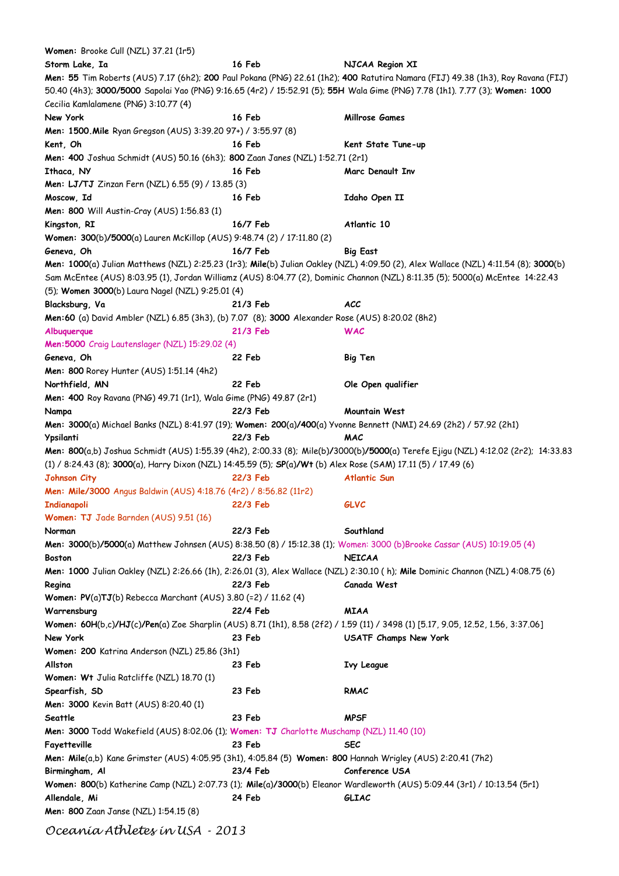| Women: Brooke Cull (NZL) 37.21 (1r5)                                                                               |          |                                                                                                                                    |
|--------------------------------------------------------------------------------------------------------------------|----------|------------------------------------------------------------------------------------------------------------------------------------|
| Storm Lake, Ia                                                                                                     | 16 Feb   | NJCAA Region XI                                                                                                                    |
|                                                                                                                    |          | Men: 55 Tim Roberts (AUS) 7.17 (6h2); 200 Paul Pokana (PNG) 22.61 (1h2); 400 Ratutira Namara (FIJ) 49.38 (1h3), Roy Ravana (FIJ)   |
|                                                                                                                    |          | 50.40 (4h3); 3000/5000 Sapolai Yao (PNG) 9:16.65 (4r2) / 15:52.91 (5); 55H Wala Gime (PNG) 7.78 (1h1). 7.77 (3); Women: 1000       |
| Cecilia Kamlalamene (PNG) 3:10.77 (4)                                                                              |          |                                                                                                                                    |
| New York                                                                                                           | 16 Feb   | Millrose Games                                                                                                                     |
| Men: 1500. Mile Ryan Gregson (AUS) 3:39.20 97+) / 3:55.97 (8)                                                      |          |                                                                                                                                    |
| Kent, Oh                                                                                                           | 16 Feb   | Kent State Tune-up                                                                                                                 |
| Men: 400 Joshua Schmidt (AUS) 50.16 (6h3); 800 Zaan Janes (NZL) 1:52.71 (2r1)                                      |          |                                                                                                                                    |
| Ithaca, NY                                                                                                         | 16 Feb   | Marc Denault Inv                                                                                                                   |
| Men: LJ/TJ Zinzan Fern (NZL) 6.55 (9) / 13.85 (3)                                                                  |          |                                                                                                                                    |
| Moscow, Id                                                                                                         | 16 Feb   | Idaho Open II                                                                                                                      |
| Men: 800 Will Austin-Cray (AUS) 1:56.83 (1)                                                                        |          |                                                                                                                                    |
| Kingston, RI                                                                                                       | 16/7 Feb | Atlantic 10                                                                                                                        |
| Women: 300(b)/5000(a) Lauren McKillop (AUS) 9:48.74 (2) / 17:11.80 (2)                                             |          |                                                                                                                                    |
| Geneva, Oh                                                                                                         | 16/7 Feb | <b>Big East</b>                                                                                                                    |
|                                                                                                                    |          | Men: 1000(a) Julian Matthews (NZL) 2:25.23 (1r3); Mile(b) Julian Oakley (NZL) 4:09.50 (2), Alex Wallace (NZL) 4:11.54 (8); 3000(b) |
|                                                                                                                    |          | Sam McEntee (AUS) 8:03.95 (1), Jordan Williamz (AUS) 8:04.77 (2), Dominic Channon (NZL) 8:11.35 (5); 5000(a) McEntee 14:22.43      |
| (5); Women 3000(b) Laura Nagel (NZL) 9:25.01 (4)                                                                   |          |                                                                                                                                    |
| Blacksburg, Va                                                                                                     | 21/3 Feb | ACC                                                                                                                                |
| Men:60 (a) David Ambler (NZL) 6.85 (3h3), (b) 7.07 (8); 3000 Alexander Rose (AUS) 8:20.02 (8h2)                    |          |                                                                                                                                    |
| Albuquerque                                                                                                        | 21/3 Feb | <b>WAC</b>                                                                                                                         |
| Men: 5000 Craig Lautenslager (NZL) 15:29.02 (4)                                                                    |          |                                                                                                                                    |
| Geneva, Oh                                                                                                         | 22 Feb   | <b>Big Ten</b>                                                                                                                     |
| <b>Men: 800</b> Rorey Hunter (AUS) 1:51.14 (4h2)                                                                   |          |                                                                                                                                    |
| Northfield, MN                                                                                                     | 22 Feb   | Ole Open qualifier                                                                                                                 |
| Men: 400 Roy Ravana (PNG) 49.71 (1r1), Wala Gime (PNG) 49.87 (2r1)                                                 |          |                                                                                                                                    |
| Nampa                                                                                                              | 22/3 Feb | Mountain West                                                                                                                      |
| Men: 3000(a) Michael Banks (NZL) 8:41.97 (19); Women: 200(a)/400(a) Yvonne Bennett (NMI) 24.69 (2h2) / 57.92 (2h1) |          |                                                                                                                                    |
| Ypsilanti                                                                                                          | 22/3 Feb | MAC                                                                                                                                |
|                                                                                                                    |          | Men: 800(a,b) Joshua Schmidt (AUS) 1:55.39 (4h2), 2:00.33 (8); Mile(b)/3000(b)/5000(a) Terefe Ejigu (NZL) 4:12.02 (2r2); 14:33.83  |
| (1) / 8:24.43 (8); 3000(a), Harry Dixon (NZL) 14:45.59 (5); SP(a)/Wt (b) Alex Rose (SAM) 17.11 (5) / 17.49 (6)     |          |                                                                                                                                    |
| <b>Johnson City</b>                                                                                                | 22/3 Feb | <b>Atlantic Sun</b>                                                                                                                |
| Men: Mile/3000 Angus Baldwin (AUS) 4:18.76 (4r2) / 8:56.82 (11r2)                                                  |          |                                                                                                                                    |
| <b>Indianapoli</b>                                                                                                 | 22/3 Feb | <b>GLVC</b>                                                                                                                        |
| Women: TJ Jade Barnden (AUS) 9.51 (16)                                                                             |          |                                                                                                                                    |
| Norman                                                                                                             | 22/3 Feb | Southland                                                                                                                          |
|                                                                                                                    |          | Men: 3000(b)/5000(a) Matthew Johnsen (AUS) 8:38.50 (8) / 15:12.38 (1); Women: 3000 (b)Brooke Cassar (AUS) 10:19.05 (4)             |
| <b>Boston</b>                                                                                                      | 22/3 Feb | <b>NEICAA</b>                                                                                                                      |
|                                                                                                                    |          | Men: 1000 Julian Oakley (NZL) 2:26.66 (1h), 2:26.01 (3), Alex Wallace (NZL) 2:30.10 (h); Mile Dominic Channon (NZL) 4:08.75 (6)    |
| Regina                                                                                                             | 22/3 Feb | Canada West                                                                                                                        |
| <b>Women: PV(a)TJ(b)</b> Rebecca Marchant (AUS) 3.80 (=2) / 11.62 (4)                                              |          |                                                                                                                                    |
| Warrensburg                                                                                                        | 22/4 Feb | <b>MIAA</b>                                                                                                                        |
|                                                                                                                    |          | Women: 60H(b,c)/HJ(c)/Pen(a) Zoe Sharplin (AUS) 8.71 (1h1), 8.58 (2f2) / 1.59 (11) / 3498 (1) [5.17, 9.05, 12.52, 1.56, 3:37.06]   |
| New York                                                                                                           | 23 Feb   | USATF Champs New York                                                                                                              |
| Women: 200 Katrina Anderson (NZL) 25.86 (3h1)                                                                      |          |                                                                                                                                    |
| Allston                                                                                                            | 23 Feb   | <b>Ivy League</b>                                                                                                                  |
| Women: Wt Julia Ratcliffe (NZL) 18.70 (1)                                                                          |          |                                                                                                                                    |
| Spearfish, SD                                                                                                      | 23 Feb   | RMAC                                                                                                                               |
| Men: 3000 Kevin Batt (AUS) 8:20.40 (1)                                                                             |          |                                                                                                                                    |
| Seattle                                                                                                            | 23 Feb   | <b>MPSF</b>                                                                                                                        |
| Men: 3000 Todd Wakefield (AUS) 8:02.06 (1); Women: TJ Charlotte Muschamp (NZL) 11.40 (10)                          |          |                                                                                                                                    |
| Fayetteville                                                                                                       | 23 Feb   | <b>SEC</b>                                                                                                                         |
| Men: Mile(a,b) Kane Grimster (AUS) 4:05.95 (3h1), 4:05.84 (5) Women: 800 Hannah Wrigley (AUS) 2:20.41 (7h2)        |          |                                                                                                                                    |
| Birmingham, Al                                                                                                     | 23/4 Feb | Conference USA                                                                                                                     |
|                                                                                                                    |          | Women: 800(b) Katherine Camp (NZL) 2:07.73 (1); Mile(a)/3000(b) Eleanor Wardleworth (AUS) 5:09.44 (3r1) / 10:13.54 (5r1)           |
| Allendale, Mi                                                                                                      | 24 Feb   | <b>GLIAC</b>                                                                                                                       |
| <b>Men: 800</b> Zaan Janse (NZL) 1:54.15 (8)                                                                       |          |                                                                                                                                    |
|                                                                                                                    |          |                                                                                                                                    |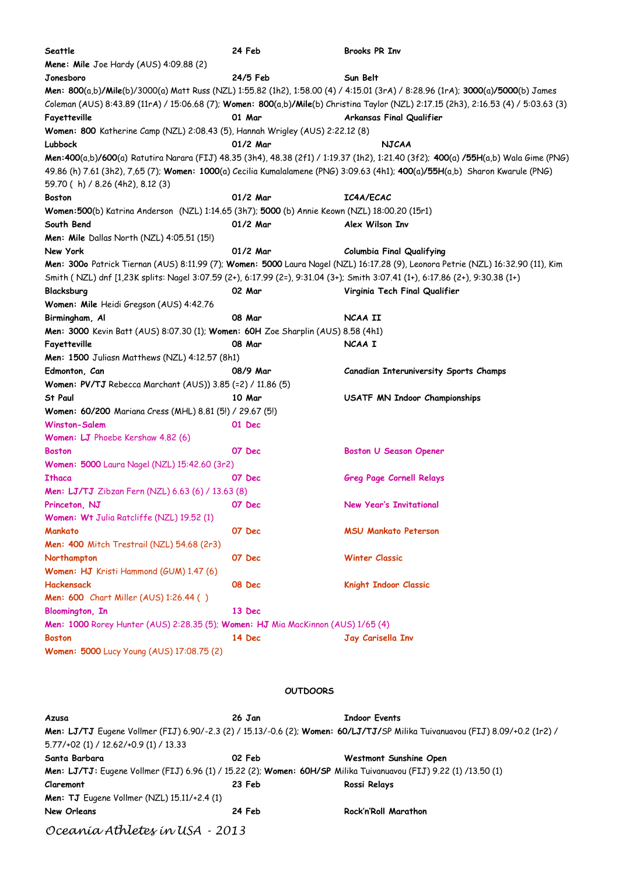| Seattle                                                                                                                       | 24 Feb     | <b>Brooks PR Inv</b>                                                                                                                 |
|-------------------------------------------------------------------------------------------------------------------------------|------------|--------------------------------------------------------------------------------------------------------------------------------------|
| Mene: Mile Joe Hardy (AUS) 4:09.88 (2)                                                                                        |            |                                                                                                                                      |
| Jonesboro                                                                                                                     | 24/5 Feb   | Sun Belt                                                                                                                             |
|                                                                                                                               |            | Men: 800(a,b)/Mile(b)/3000(a) Matt Russ (NZL) 1:55.82 (1h2), 1:58.00 (4) / 4:15.01 (3rA) / 8:28.96 (1rA); 3000(a)/5000(b) James      |
|                                                                                                                               |            | Coleman (AUS) 8:43.89 (11rA) / 15:06.68 (7); Women: 800(a,b)/Mile(b) Christina Taylor (NZL) 2:17.15 (2h3), 2:16.53 (4) / 5:03.63 (3) |
| Fayetteville                                                                                                                  | 01 Mar     | Arkansas Final Qualifier                                                                                                             |
| Women: 800 Katherine Camp (NZL) 2:08.43 (5), Hannah Wrigley (AUS) 2:22.12 (8)                                                 |            |                                                                                                                                      |
| Lubbock                                                                                                                       | 01/2 Mar   | <b>NJCAA</b>                                                                                                                         |
|                                                                                                                               |            | Men:400(a,b)/600(a) Ratutira Narara (FIJ) 48.35 (3h4), 48.38 (2f1) / 1:19.37 (1h2), 1:21.40 (3f2); 400(a) /55H(a,b) Wala Gime (PNG)  |
|                                                                                                                               |            | 49.86 (h) 7.61 (3h2), 7,65 (7); Women: 1000(a) Cecilia Kumalalamene (PNG) 3:09.63 (4h1); 400(a)/55H(a,b) Sharon Kwarule (PNG)        |
| 59.70 (h) / 8.26 (4h2), 8.12 (3)                                                                                              |            |                                                                                                                                      |
| Boston                                                                                                                        | $01/2$ Mar | <b>IC4A/ECAC</b>                                                                                                                     |
| Women:500(b) Katrina Anderson (NZL) 1:14.65 (3h7); 5000 (b) Annie Keown (NZL) 18:00.20 (15r1)                                 |            |                                                                                                                                      |
| South Bend                                                                                                                    | 01/2 Mar   | Alex Wilson Inv                                                                                                                      |
| <b>Men: Mile</b> Dallas North (NZL) $4:05.51(15!)$                                                                            |            |                                                                                                                                      |
| New York                                                                                                                      | 01/2 Mar   | <b>Columbia Final Qualifying</b>                                                                                                     |
|                                                                                                                               |            | Men: 300o Patrick Tiernan (AUS) 8:11.99 (7); Women: 5000 Laura Nagel (NZL) 16:17.28 (9), Leonora Petrie (NZL) 16:32.90 (11), Kim     |
| Smith (NZL) dnf [1,23K splits: Nagel 3:07.59 (2+), 6:17.99 (2=), 9:31.04 (3+); Smith 3:07.41 (1+), 6:17.86 (2+), 9:30.38 (1+) |            |                                                                                                                                      |
| Blacksburg                                                                                                                    | 02 Mar     | Virginia Tech Final Qualifier                                                                                                        |
| Women: Mile Heidi Gregson (AUS) 4:42.76                                                                                       |            |                                                                                                                                      |
| Birmingham, Al                                                                                                                | 08 Mar     | NCAA II                                                                                                                              |
| Men: 3000 Kevin Batt (AUS) 8:07.30 (1); Women: 60H Zoe Sharplin (AUS) 8.58 (4h1)                                              |            |                                                                                                                                      |
| Fayetteville                                                                                                                  | 08 Mar     | NCAA I                                                                                                                               |
| Men: 1500 Juliasn Matthews (NZL) 4:12.57 (8h1)                                                                                |            |                                                                                                                                      |
| Edmonton, Can                                                                                                                 | 08/9 Mar   | Canadian Interuniversity Sports Champs                                                                                               |
| Women: PV/TJ Rebecca Marchant (AUS)) 3.85 (=2) / 11.86 (5)                                                                    |            |                                                                                                                                      |
| St Paul                                                                                                                       | 10 Mar     | USATF MN Indoor Championships                                                                                                        |
| Women: 60/200 Mariana Cress (MHL) 8.81 (5!) / 29.67 (5!)                                                                      |            |                                                                                                                                      |
| <b>Winston-Salem</b>                                                                                                          | 01 Dec     |                                                                                                                                      |
| Women: LJ Phoebe Kershaw 4.82 (6)                                                                                             |            |                                                                                                                                      |
| <b>Boston</b>                                                                                                                 | 07 Dec     | <b>Boston U Season Opener</b>                                                                                                        |
| Women: 5000 Laura Nagel (NZL) 15:42.60 (3r2)                                                                                  |            |                                                                                                                                      |
| <b>Ithaca</b>                                                                                                                 | 07 Dec     | <b>Greg Page Cornell Relays</b>                                                                                                      |
| <b>Men: LJ/TJ</b> Zibzan Fern (NZL) 6.63 (6) / 13.63 (8)                                                                      |            |                                                                                                                                      |
| Princeton, NJ                                                                                                                 | 07 Dec     | New Year's Invitational                                                                                                              |
| Women: Wt Julia Ratcliffe (NZL) 19.52 (1)                                                                                     |            |                                                                                                                                      |
| Mankato                                                                                                                       | 07 Dec     | <b>MSU Mankato Peterson</b>                                                                                                          |
| Men: 400 Mitch Trestrail (NZL) 54.68 (2r3)                                                                                    |            |                                                                                                                                      |
| Northampton                                                                                                                   | 07 Dec     | <b>Winter Classic</b>                                                                                                                |
| Women: HJ Kristi Hammond (GUM) 1.47 (6)                                                                                       |            |                                                                                                                                      |
| Hackensack                                                                                                                    | 08 Dec     | Knight Indoor Classic                                                                                                                |
| <b>Men: 600</b> Chart Miller (AUS) 1:26.44 ()                                                                                 |            |                                                                                                                                      |
| <b>Bloomington, In</b>                                                                                                        | 13 Dec     |                                                                                                                                      |
| Men: 1000 Rorey Hunter (AUS) 2:28.35 (5); Women: HJ Mia MacKinnon (AUS) 1/65 (4)                                              |            |                                                                                                                                      |
| <b>Boston</b>                                                                                                                 | 14 Dec     | Jay Carisella Inv                                                                                                                    |
| Women: 5000 Lucy Young (AUS) 17:08.75 (2)                                                                                     |            |                                                                                                                                      |
|                                                                                                                               |            |                                                                                                                                      |

## **OUTDOORS**

| Azusa                                                                                                             | 26 Jan | <b>Indoor Events</b>                                                                                                          |
|-------------------------------------------------------------------------------------------------------------------|--------|-------------------------------------------------------------------------------------------------------------------------------|
|                                                                                                                   |        | Men: LJ/TJ Eugene Vollmer (FIJ) 6.90/-2.3 (2) / 15.13/-0.6 (2); Women: 60/LJ/TJ/SP Milika Tuivanuavou (FIJ) 8.09/+0.2 (1r2) / |
| $5.77/+02$ (1) / 12.62/+0.9 (1) / 13.33                                                                           |        |                                                                                                                               |
| Santa Barbara                                                                                                     | 02 Feb | Westmont Sunshine Open                                                                                                        |
| Men: LJ/TJ: Eugene Vollmer (FIJ) 6.96 (1) / 15.22 (2); Women: 60H/SP Milika Tuivanuavou (FIJ) 9.22 (1) /13.50 (1) |        |                                                                                                                               |
| Claremont                                                                                                         | 23 Feb | Rossi Relays                                                                                                                  |
| <b>Men: TJ</b> Eugene Vollmer (NZL) 15.11/+2.4 (1)                                                                |        |                                                                                                                               |
| <b>New Orleans</b>                                                                                                | 24 Feb | Rock'n'Roll Marathon                                                                                                          |
| Oceanía Athletes in USA - 2013                                                                                    |        |                                                                                                                               |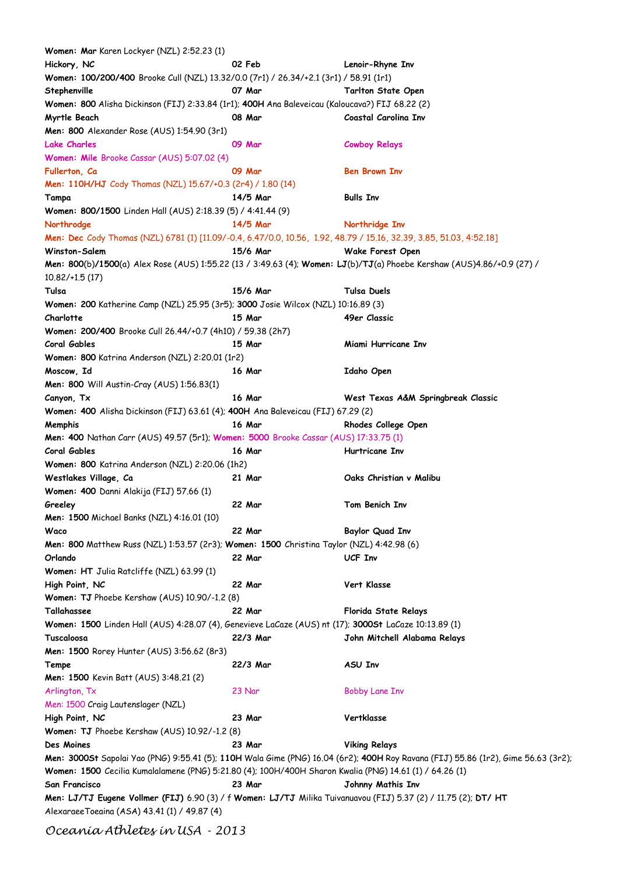| Women: Mar Karen Lockyer (NZL) 2:52.23 (1)                                                                          |               |                                                                                                                                   |
|---------------------------------------------------------------------------------------------------------------------|---------------|-----------------------------------------------------------------------------------------------------------------------------------|
| Hickory, NC                                                                                                         | 02 Feb        | Lenoir-Rhyne Inv                                                                                                                  |
| Women: 100/200/400 Brooke Cull (NZL) 13.32/0.0 (7r1) / 26.34/+2.1 (3r1) / 58.91 (1r1)                               |               |                                                                                                                                   |
| Stephenville                                                                                                        | 07 Mar        | Tarlton State Open                                                                                                                |
| Women: 800 Alisha Dickinson (FIJ) 2:33.84 (1r1); 400H Ana Baleveicau (Kaloucava?) FIJ 68.22 (2)                     |               |                                                                                                                                   |
| Myrtle Beach                                                                                                        | 08 Mar        | Coastal Carolina Inv                                                                                                              |
| Men: 800 Alexander Rose (AUS) 1:54.90 (3r1)                                                                         |               |                                                                                                                                   |
| <b>Lake Charles</b>                                                                                                 | 09 Mar        | <b>Cowboy Relays</b>                                                                                                              |
| Women: Mile Brooke Cassar (AUS) 5:07.02 (4)                                                                         |               |                                                                                                                                   |
| Fullerton, Ca                                                                                                       | 09 Mar        | <b>Ben Brown Inv</b>                                                                                                              |
| Men: 110H/HJ Cody Thomas (NZL) 15.67/+0.3 (2r4) / 1.80 (14)                                                         |               |                                                                                                                                   |
|                                                                                                                     | 14/5 Mar      | <b>Bulls Inv</b>                                                                                                                  |
| Tampa                                                                                                               |               |                                                                                                                                   |
| Women: 800/1500 Linden Hall (AUS) 2:18.39 (5) / 4:41.44 (9)                                                         |               |                                                                                                                                   |
| Northrodge                                                                                                          | 14/5 Mar      | Northridge Inv                                                                                                                    |
| Men: Dec Cody Thomas (NZL) 6781 (1) [11.09/-0.4, 6.47/0.0, 10.56, 1.92, 48.79 / 15.16, 32.39, 3.85, 51.03, 4:52.18] |               |                                                                                                                                   |
| Winston-Salem                                                                                                       | 15/6 Mar      | Wake Forest Open                                                                                                                  |
| $10.82/+1.5(17)$                                                                                                    |               | Men: 800(b)/1500(a) Alex Rose (AUS) 1:55.22 (13 / 3:49.63 (4); Women: LJ(b)/TJ(a) Phoebe Kershaw (AUS)4.86/+0.9 (27) /            |
| Tulsa                                                                                                               | 15/6 Mar      | <b>Tulsa Duels</b>                                                                                                                |
| Women: 200 Katherine Camp (NZL) 25.95 (3r5); 3000 Josie Wilcox (NZL) 10:16.89 (3)                                   |               |                                                                                                                                   |
| Charlotte                                                                                                           | 15 Mar        | 49er Classic                                                                                                                      |
| Women: 200/400 Brooke Cull 26.44/+0.7 (4h10) / 59.38 (2h7)                                                          |               |                                                                                                                                   |
| <b>Coral Gables</b>                                                                                                 | 15 Mar        | Miami Hurricane Inv                                                                                                               |
| Women: 800 Katrina Anderson (NZL) 2:20.01 (1r2)                                                                     |               |                                                                                                                                   |
| Moscow, Id                                                                                                          | 16 Mar        | Idaho Open                                                                                                                        |
| <b>Men: 800</b> Will Austin-Cray (AUS) 1:56.83(1)                                                                   |               |                                                                                                                                   |
|                                                                                                                     | <b>16 Mar</b> |                                                                                                                                   |
| Canyon, Tx                                                                                                          |               | West Texas A&M Springbreak Classic                                                                                                |
| Women: 400 Alisha Dickinson (FIJ) 63.61 (4); 400H Ana Baleveicau (FIJ) 67.29 (2)                                    |               |                                                                                                                                   |
| Memphis                                                                                                             | 16 Mar        | Rhodes College Open                                                                                                               |
| <b>Men: 400</b> Nathan Carr (AUS) 49.57 (5r1); Women: 5000 Brooke Cassar (AUS) 17:33.75 (1)                         |               |                                                                                                                                   |
| <b>Coral Gables</b>                                                                                                 | <b>16 Mar</b> | <b>Hurtricane Inv</b>                                                                                                             |
| Women: 800 Katrina Anderson (NZL) 2:20.06 (1h2)                                                                     |               |                                                                                                                                   |
| Westlakes Village, Ca                                                                                               | 21 Mar        | Oaks Christian v Malibu                                                                                                           |
| Women: 400 Danni Alakija (FIJ) 57.66 (1)                                                                            |               |                                                                                                                                   |
| Greeley                                                                                                             | 22 Mar        | Tom Benich Inv                                                                                                                    |
| Men: 1500 Michael Banks (NZL) 4:16.01 (10)                                                                          |               |                                                                                                                                   |
| Waco                                                                                                                | 22 Mar        | Baylor Quad Inv                                                                                                                   |
| Men: 800 Matthew Russ (NZL) 1:53.57 (2r3); Women: 1500 Christina Taylor (NZL) 4:42.98 (6)                           |               |                                                                                                                                   |
| Orlando                                                                                                             | 22 Mar        | UCF Inv                                                                                                                           |
| Women: HT Julia Ratcliffe (NZL) 63.99 (1)                                                                           |               |                                                                                                                                   |
| High Point, NC                                                                                                      | 22 Mar        | Vert Klasse                                                                                                                       |
| Women: TJ Phoebe Kershaw (AUS) 10.90/-1.2 (8)                                                                       |               |                                                                                                                                   |
| Tallahassee                                                                                                         | 22 Mar        | Florida State Relays                                                                                                              |
| Women: 1500 Linden Hall (AUS) 4:28.07 (4), Genevieve LaCaze (AUS) nt (17); 30005t LaCaze 10:13.89 (1)               |               |                                                                                                                                   |
|                                                                                                                     | 22/3 Mar      |                                                                                                                                   |
| Tuscaloosa                                                                                                          |               | John Mitchell Alabama Relays                                                                                                      |
| Men: 1500 Rorey Hunter (AUS) 3:56.62 (8r3)                                                                          |               |                                                                                                                                   |
| Tempe                                                                                                               | 22/3 Mar      | ASU Inv                                                                                                                           |
| <b>Men: 1500</b> Kevin Batt (AUS) 3:48.21 (2)                                                                       |               |                                                                                                                                   |
| Arlington, Tx                                                                                                       | 23 Nar        | <b>Bobby Lane Inv</b>                                                                                                             |
| Men: 1500 Craig Lautenslager (NZL)                                                                                  |               |                                                                                                                                   |
| High Point, NC                                                                                                      | 23 Mar        | Vertklasse                                                                                                                        |
| Women: TJ Phoebe Kershaw (AUS) 10.92/-1.2 (8)                                                                       |               |                                                                                                                                   |
| Des Moines                                                                                                          | 23 Mar        | <b>Viking Relays</b>                                                                                                              |
|                                                                                                                     |               | Men: 3000St Sapolai Yao (PNG) 9:55.41 (5); 110H Wala Gime (PNG) 16.04 (6r2); 400H Roy Ravana (FIJ) 55.86 (1r2), Gime 56.63 (3r2); |
| Women: 1500 Cecilia Kumalalamene (PNG) 5:21.80 (4); 100H/400H Sharon Kwalia (PNG) 14.61 (1) / 64.26 (1)             |               |                                                                                                                                   |
| San Francisco                                                                                                       | 23 Mar        | Johnny Mathis Inv                                                                                                                 |
| Men: LJ/TJ Eugene Vollmer (FIJ) 6.90 (3) / f Women: LJ/TJ Milika Tuivanuavou (FIJ) 5.37 (2) / 11.75 (2); DT/ HT     |               |                                                                                                                                   |
| Alexaraee Toeaina (ASA) 43.41 (1) / 49.87 (4)                                                                       |               |                                                                                                                                   |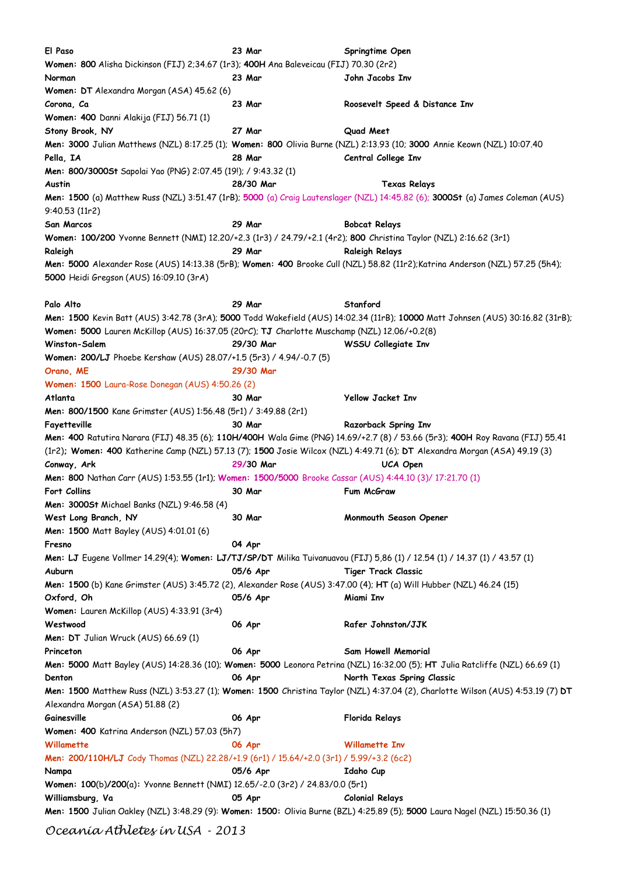| El Paso                                                                                                              | 23 Mar    | Springtime Open                                                                                                                 |
|----------------------------------------------------------------------------------------------------------------------|-----------|---------------------------------------------------------------------------------------------------------------------------------|
| Women: 800 Alisha Dickinson (FIJ) 2;34.67 (1r3); 400H Ana Baleveicau (FIJ) 70.30 (2r2)                               |           |                                                                                                                                 |
| Norman                                                                                                               | 23 Mar    | John Jacobs Inv                                                                                                                 |
| Women: DT Alexandra Morgan (ASA) 45.62 (6)                                                                           |           |                                                                                                                                 |
| Corona, Ca                                                                                                           | 23 Mar    | Roosevelt Speed & Distance Inv                                                                                                  |
| Women: 400 Danni Alakija (FIJ) 56.71 (1)                                                                             |           |                                                                                                                                 |
| Stony Brook, NY                                                                                                      | 27 Mar    | Quad Meet                                                                                                                       |
|                                                                                                                      |           | Men: 3000 Julian Matthews (NZL) 8:17.25 (1); Women: 800 Olivia Burne (NZL) 2:13.93 (10; 3000 Annie Keown (NZL) 10:07.40         |
| Pella, IA                                                                                                            | 28 Mar    | Central College Inv                                                                                                             |
| Men: 800/3000St Sapolai Yao (PNG) 2:07.45 (19!); / 9:43.32 (1)                                                       |           |                                                                                                                                 |
| Austin                                                                                                               | 28/30 Mar | <b>Texas Relays</b>                                                                                                             |
|                                                                                                                      |           | Men: 1500 (a) Matthew Russ (NZL) 3:51.47 (1rB); 5000 (a) Craig Lautenslager (NZL) 14:45.82 (6); 3000St (a) James Coleman (AUS)  |
| 9:40.53 (11r2)                                                                                                       |           |                                                                                                                                 |
| San Marcos                                                                                                           | 29 Mar    |                                                                                                                                 |
|                                                                                                                      |           | <b>Bobcat Relays</b>                                                                                                            |
| Women: 100/200 Yvonne Bennett (NMI) 12.20/+2.3 (1r3) / 24.79/+2.1 (4r2); 800 Christina Taylor (NZL) 2:16.62 (3r1)    |           |                                                                                                                                 |
| Raleigh                                                                                                              | 29 Mar    | <b>Raleigh Relays</b>                                                                                                           |
| 5000 Heidi Gregson (AUS) 16:09.10 (3rA)                                                                              |           | Men: 5000 Alexander Rose (AUS) 14:13.38 (5rB); Women: 400 Brooke Cull (NZL) 58.82 (11r2); Katrina Anderson (NZL) 57.25 (5h4);   |
| Palo Alto                                                                                                            | 29 Mar    | Stanford                                                                                                                        |
|                                                                                                                      |           | Men: 1500 Kevin Batt (AUS) 3:42.78 (3rA); 5000 Todd Wakefield (AUS) 14:02.34 (11rB); 10000 Matt Johnsen (AUS) 30:16.82 (31rB);  |
| Women: 5000 Lauren McKillop (AUS) 16:37.05 (20rC); TJ Charlotte Muschamp (NZL) 12.06/+0.2(8)                         |           |                                                                                                                                 |
| <b>Winston-Salem</b>                                                                                                 | 29/30 Mar | WSSU Collegiate Inv                                                                                                             |
| Women: 200/LJ Phoebe Kershaw (AUS) 28.07/+1.5 (5r3) / 4.94/-0.7 (5)                                                  |           |                                                                                                                                 |
| Orano, ME                                                                                                            | 29/30 Mar |                                                                                                                                 |
| Women: 1500 Laura-Rose Donegan (AUS) 4:50.26 (2)                                                                     |           |                                                                                                                                 |
| Atlanta                                                                                                              | 30 Mar    | <b>Yellow Jacket Inv</b>                                                                                                        |
| Men: 800/1500 Kane Grimster (AUS) 1:56.48 (5r1) / 3:49.88 (2r1)                                                      |           |                                                                                                                                 |
| Fayetteville                                                                                                         | 30 Mar    | Razorback Spring Inv                                                                                                            |
|                                                                                                                      |           |                                                                                                                                 |
|                                                                                                                      |           | Men: 400 Ratutira Narara (FIJ) 48.35 (6); 110H/400H Wala Gime (PNG) 14.69/+2.7 (8) / 53.66 (5r3); 400H Roy Ravana (FIJ) 55.41   |
|                                                                                                                      |           | (1r2); Women: 400 Katherine Camp (NZL) 57.13 (7); 1500 Josie Wilcox (NZL) 4:49.71 (6); DT Alexandra Morgan (ASA) 49.19 (3)      |
| Conway, Ark                                                                                                          | 29/30 Mar | UCA Open                                                                                                                        |
| Men: 800 Nathan Carr (AUS) 1:53.55 (1r1); Women: 1500/5000 Brooke Cassar (AUS) 4:44.10 (3)/ 17:21.70 (1)             |           |                                                                                                                                 |
| <b>Fort Collins</b>                                                                                                  | 30 Mar    | Fum McGraw                                                                                                                      |
| Men: 3000St Michael Banks (NZL) 9:46.58 (4)                                                                          |           |                                                                                                                                 |
| West Long Branch, NY                                                                                                 | 30 Mar    | Monmouth Season Opener                                                                                                          |
| <b>Men: 1500 Matt Bayley (AUS) 4:01.01 (6)</b>                                                                       |           |                                                                                                                                 |
| Fresno                                                                                                               | 04 Apr    |                                                                                                                                 |
|                                                                                                                      |           | Men: LJ Eugene Vollmer 14.29(4); Women: LJ/TJ/SP/DT Milika Tuivanuavou (FIJ) 5,86 (1) / 12.54 (1) / 14.37 (1) / 43.57 (1)       |
| Auburn                                                                                                               | 05/6 Apr  | <b>Tiger Track Classic</b>                                                                                                      |
| Men: 1500 (b) Kane Grimster (AUS) 3:45.72 (2), Alexander Rose (AUS) 3:47.00 (4); HT (a) Will Hubber (NZL) 46.24 (15) |           |                                                                                                                                 |
| Oxford, Oh                                                                                                           | 05/6 Apr  | Miami Inv                                                                                                                       |
| Women: Lauren McKillop (AUS) 4:33.91 (3r4)                                                                           |           |                                                                                                                                 |
| Westwood                                                                                                             | 06 Apr    | Rafer Johnston/JJK                                                                                                              |
| Men: DT Julian Wruck (AUS) 66.69 (1)                                                                                 |           |                                                                                                                                 |
| Princeton                                                                                                            | 06 Apr    | <b>Sam Howell Memorial</b>                                                                                                      |
|                                                                                                                      |           | Men: 5000 Matt Bayley (AUS) 14:28.36 (10); Women: 5000 Leonora Petrina (NZL) 16:32.00 (5); HT Julia Ratcliffe (NZL) 66.69 (1)   |
| Denton                                                                                                               | 06 Apr    | North Texas Spring Classic                                                                                                      |
|                                                                                                                      |           | Men: 1500 Matthew Russ (NZL) 3:53.27 (1); Women: 1500 Christina Taylor (NZL) 4:37.04 (2), Charlotte Wilson (AUS) 4:53.19 (7) DT |
|                                                                                                                      |           |                                                                                                                                 |
| Alexandra Morgan (ASA) 51.88 (2)                                                                                     |           |                                                                                                                                 |
| Gainesville                                                                                                          | 06 Apr    | Florida Relays                                                                                                                  |
| Women: 400 Katrina Anderson (NZL) 57.03 (5h7)                                                                        |           |                                                                                                                                 |
| Willamette                                                                                                           | 06 Apr    | <b>Willamette Inv</b>                                                                                                           |
| Men: 200/110H/LJ Cody Thomas (NZL) 22.28/+1.9 (6r1) / 15.64/+2.0 (3r1) / 5.99/+3.2 (6c2)                             |           |                                                                                                                                 |
| Nampa                                                                                                                | 05/6 Apr  | Idaho Cup                                                                                                                       |
| Women: 100(b)/200(a): Yvonne Bennett (NMI) 12.65/-2.0 (3r2) / 24.83/0.0 (5r1)                                        |           |                                                                                                                                 |
| Williamsburg, Va                                                                                                     | 05 Apr    | <b>Colonial Relays</b>                                                                                                          |
|                                                                                                                      |           | Men: 1500 Julian Oakley (NZL) 3:48.29 (9): Women: 1500: Olivia Burne (BZL) 4:25.89 (5); 5000 Laura Nagel (NZL) 15:50.36 (1)     |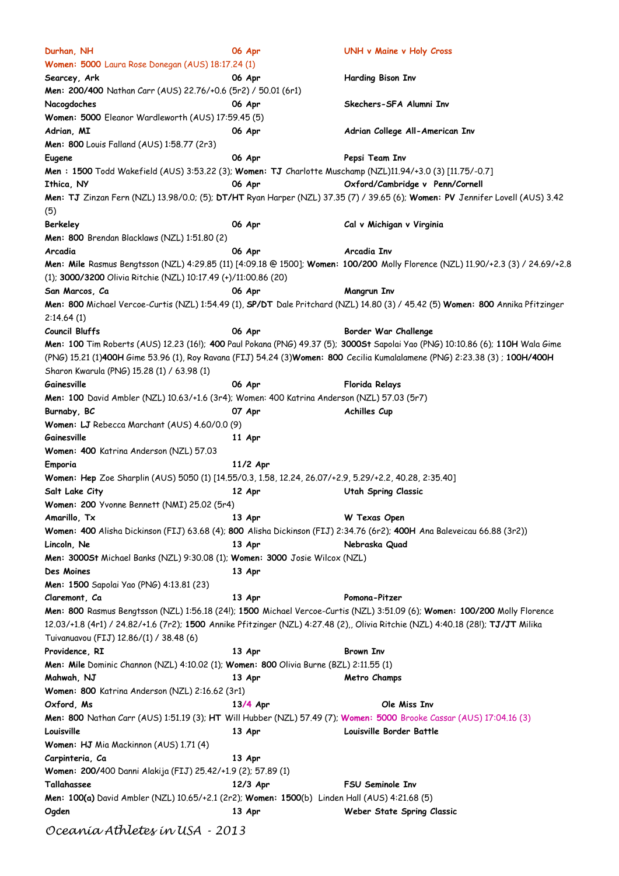| Durhan, NH                                                                                                | 06 Apr     | <b>UNH v Maine v Holy Cross</b>                                                                                                 |
|-----------------------------------------------------------------------------------------------------------|------------|---------------------------------------------------------------------------------------------------------------------------------|
| Women: 5000 Laura Rose Donegan (AUS) 18:17.24 (1)                                                         |            |                                                                                                                                 |
| Searcey, Ark                                                                                              | 06 Apr     | Harding Bison Inv                                                                                                               |
| Men: 200/400 Nathan Carr (AUS) 22.76/+0.6 (5r2) / 50.01 (6r1)                                             |            |                                                                                                                                 |
| Nacogdoches                                                                                               | 06 Apr     | Skechers-SFA Alumni Inv                                                                                                         |
| Women: 5000 Eleanor Wardleworth (AUS) 17:59.45 (5)                                                        |            |                                                                                                                                 |
| Adrian, MI                                                                                                | 06 Apr     | Adrian College All-American Inv                                                                                                 |
| Men: 800 Louis Falland (AUS) 1:58.77 (2r3)                                                                |            |                                                                                                                                 |
| Eugene                                                                                                    | 06 Apr     | Pepsi Team Inv                                                                                                                  |
| Men: 1500 Todd Wakefield (AUS) 3:53.22 (3); Women: TJ Charlotte Muschamp (NZL)11.94/+3.0 (3) [11.75/-0.7] |            |                                                                                                                                 |
| Ithica, NY                                                                                                | 06 Apr     | Oxford/Cambridge v Penn/Cornell                                                                                                 |
|                                                                                                           |            |                                                                                                                                 |
|                                                                                                           |            | Men: TJ Zinzan Fern (NZL) 13.98/0.0; (5); DT/HT Ryan Harper (NZL) 37.35 (7) / 39.65 (6); Women: PV Jennifer Lovell (AUS) 3.42   |
| (5)                                                                                                       |            |                                                                                                                                 |
| Berkeley                                                                                                  | 06 Apr     | Cal v Michigan v Virginia                                                                                                       |
| Men: 800 Brendan Blacklaws (NZL) 1:51.80 (2)                                                              |            |                                                                                                                                 |
| Arcadia                                                                                                   | 06 Apr     | Arcadia Inv                                                                                                                     |
|                                                                                                           |            | Men: Mile Rasmus Bengtsson (NZL) 4:29.85 (11) [4:09.18 @ 1500]; Women: 100/200 Molly Florence (NZL) 11.90/+2.3 (3) / 24.69/+2.8 |
| (1): 3000/3200 Olivia Ritchie (NZL) 10:17.49 (+)/11:00.86 (20)                                            |            |                                                                                                                                 |
| San Marcos, Ca                                                                                            | 06 Apr     | Mangrun Inv                                                                                                                     |
|                                                                                                           |            | Men: 800 Michael Vercoe-Curtis (NZL) 1:54.49 (1), SP/DT Dale Pritchard (NZL) 14.80 (3) / 45.42 (5) Women: 800 Annika Pfitzinger |
| 2:14.64(1)                                                                                                |            |                                                                                                                                 |
| <b>Council Bluffs</b>                                                                                     | 06 Apr     | Border War Challenge                                                                                                            |
|                                                                                                           |            | Men: 100 Tim Roberts (AUS) 12.23 (16!); 400 Paul Pokana (PNG) 49.37 (5); 3000St Sapolai Yao (PNG) 10:10.86 (6); 110H Wala Gime  |
|                                                                                                           |            | (PNG) 15.21 (1)400H Gime 53.96 (1), Roy Ravana (FIJ) 54.24 (3)Women: 800 Cecilia Kumalalamene (PNG) 2:23.38 (3); 100H/400H      |
| Sharon Kwarula (PNG) 15.28 (1) / 63.98 (1)                                                                |            |                                                                                                                                 |
| Gainesville                                                                                               | 06 Apr     | <b>Florida Relays</b>                                                                                                           |
| Men: 100 David Ambler (NZL) 10.63/+1.6 (3r4); Women: 400 Katrina Anderson (NZL) 57.03 (5r7)               |            |                                                                                                                                 |
|                                                                                                           |            |                                                                                                                                 |
| Burnaby, BC                                                                                               | 07 Apr     | Achilles Cup                                                                                                                    |
| Women: LJ Rebecca Marchant (AUS) 4.60/0.0 (9)                                                             |            |                                                                                                                                 |
| Gainesville                                                                                               | 11 Apr     |                                                                                                                                 |
| Women: 400 Katrina Anderson (NZL) 57.03                                                                   |            |                                                                                                                                 |
| Emporia                                                                                                   | $11/2$ Apr |                                                                                                                                 |
| Women: Hep Zoe Sharplin (AUS) 5050 (1) [14.55/0.3, 1.58, 12.24, 26.07/+2.9, 5.29/+2.2, 40.28, 2:35.40]    |            |                                                                                                                                 |
| Salt Lake City                                                                                            | 12 Apr     | <b>Utah Spring Classic</b>                                                                                                      |
| Women: 200 Yvonne Bennett (NMI) 25.02 (5r4)                                                               |            |                                                                                                                                 |
| Amarillo, Tx                                                                                              | 13 Apr     | W Texas Open                                                                                                                    |
|                                                                                                           |            | Women: 400 Alisha Dickinson (FIJ) 63.68 (4); 800 Alisha Dickinson (FIJ) 2:34.76 (6r2); 400H Ana Baleveicau 66.88 (3r2))         |
| Lincoln, Ne                                                                                               | 13 Apr     | Nebraska Quad                                                                                                                   |
| <b>Men: 3000St</b> Michael Banks (NZL) 9:30.08 (1); <b>Women: 3000</b> Josie Wilcox (NZL)                 |            |                                                                                                                                 |
| Des Moines                                                                                                | 13 Apr     |                                                                                                                                 |
| <b>Men: 1500</b> Sapolai Yao (PNG) 4:13.81 (23)                                                           |            |                                                                                                                                 |
| Claremont, Ca                                                                                             | 13 Apr     | Pomona-Pitzer                                                                                                                   |
|                                                                                                           |            | Men: 800 Rasmus Bengtsson (NZL) 1:56.18 (24!); 1500 Michael Vercoe-Curtis (NZL) 3:51.09 (6); Women: 100/200 Molly Florence      |
|                                                                                                           |            | 12.03/+1.8 (4r1) / 24.82/+1.6 (7r2); 1500 Annike Pfitzinger (NZL) 4:27.48 (2), Olivia Ritchie (NZL) 4:40.18 (28!); TJ/JT Milika |
|                                                                                                           |            |                                                                                                                                 |
| Tuivanuavou (FIJ) 12.86/(1) / 38.48 (6)                                                                   |            |                                                                                                                                 |
| Providence, RI                                                                                            | 13 Apr     | Brown Inv                                                                                                                       |
| Men: Mile Dominic Channon (NZL) 4:10.02 (1); Women: 800 Olivia Burne (BZL) 2:11.55 (1)                    |            |                                                                                                                                 |
| Mahwah, NJ                                                                                                | 13 Apr     | Metro Champs                                                                                                                    |
| Women: 800 Katrina Anderson (NZL) 2:16.62 (3r1)                                                           |            |                                                                                                                                 |
| Oxford, Ms                                                                                                | 13/4 Apr   | Ole Miss Inv                                                                                                                    |
|                                                                                                           |            | <b>Men: 800</b> Nathan Carr (AUS) 1:51.19 (3); HT Will Hubber (NZL) 57.49 (7); Women: 5000 Brooke Cassar (AUS) 17:04.16 (3)     |
| Louisville                                                                                                | 13 Apr     | Louisville Border Battle                                                                                                        |
| Women: HJ Mia Mackinnon (AUS) 1.71 (4)                                                                    |            |                                                                                                                                 |
| Carpinteria, Ca                                                                                           | 13 Apr     |                                                                                                                                 |
| Women: 200/400 Danni Alakija (FIJ) 25.42/+1.9 (2); 57.89 (1)                                              |            |                                                                                                                                 |
| Tallahassee                                                                                               | $12/3$ Apr | <b>FSU Seminole Inv</b>                                                                                                         |
| Men: 100(a) David Ambler (NZL) 10.65/+2.1 (2r2); Women: 1500(b) Linden Hall (AUS) 4:21.68 (5)             |            |                                                                                                                                 |
| Ogden                                                                                                     | 13 Apr     | Weber State Spring Classic                                                                                                      |
|                                                                                                           |            |                                                                                                                                 |
| Oceanía Athletes in USA - 2013                                                                            |            |                                                                                                                                 |
|                                                                                                           |            |                                                                                                                                 |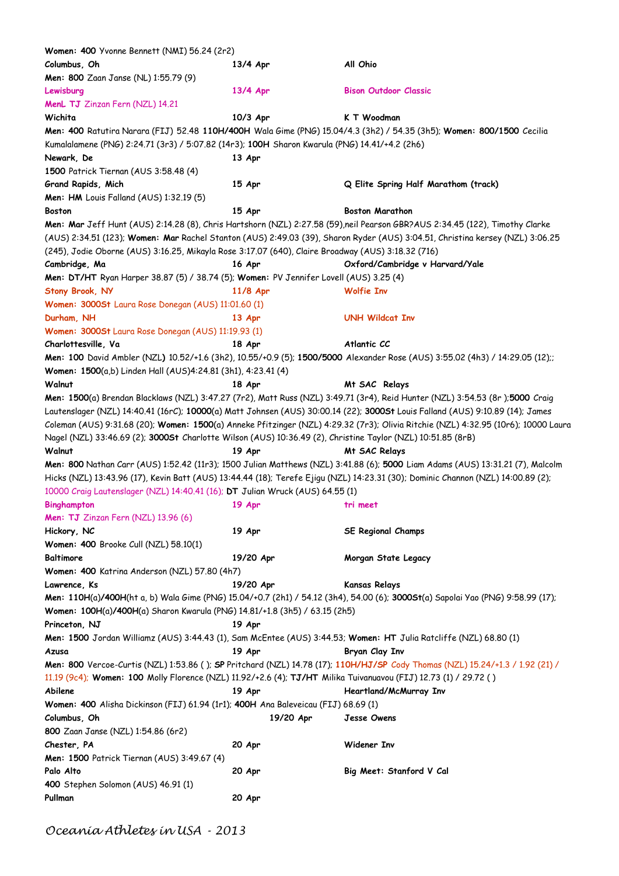| Women: 400 Yvonne Bennett (NMI) 56.24 (2r2)                                                                       |           |                                                                                                                                    |
|-------------------------------------------------------------------------------------------------------------------|-----------|------------------------------------------------------------------------------------------------------------------------------------|
| Columbus, Oh                                                                                                      | 13/4 Apr  | All Ohio                                                                                                                           |
| Men: 800 Zaan Janse (NL) 1:55.79 (9)                                                                              |           |                                                                                                                                    |
| Lewisburg                                                                                                         | 13/4 Apr  | <b>Bison Outdoor Classic</b>                                                                                                       |
| MenL TJ Zinzan Fern (NZL) 14.21                                                                                   |           |                                                                                                                                    |
| Wichita                                                                                                           | 10/3 Apr  | K T Woodman                                                                                                                        |
|                                                                                                                   |           | Men: 400 Ratutira Narara (FIJ) 52.48 110H/400H Wala Gime (PNG) 15.04/4.3 (3h2) / 54.35 (3h5); Women: 800/1500 Cecilia              |
| Kumalalamene (PNG) 2:24.71 (3r3) / 5:07.82 (14r3); 100H Sharon Kwarula (PNG) 14.41/+4.2 (2h6)                     |           |                                                                                                                                    |
| Newark, De                                                                                                        | 13 Apr    |                                                                                                                                    |
| 1500 Patrick Tiernan (AUS 3:58.48 (4)                                                                             |           |                                                                                                                                    |
| Grand Rapids, Mich                                                                                                | 15 Apr    | Q Elite Spring Half Marathom (track)                                                                                               |
| <b>Men: HM</b> Louis Falland (AUS) 1:32.19 (5)                                                                    |           |                                                                                                                                    |
| <b>Boston</b>                                                                                                     | 15 Apr    | <b>Boston Marathon</b>                                                                                                             |
|                                                                                                                   |           | Men: Mar Jeff Hunt (AUS) 2:14.28 (8), Chris Hartshorn (NZL) 2:27.58 (59),neil Pearson GBR?AUS 2:34.45 (122), Timothy Clarke        |
|                                                                                                                   |           | (AUS) 2:34.51 (123); Women: Mar Rachel Stanton (AUS) 2:49.03 (39), Sharon Ryder (AUS) 3:04.51, Christina kersey (NZL) 3:06.25      |
| (245), Jodie Oborne (AUS) 3:16.25, Mikayla Rose 3:17.07 (640), Claire Broadway (AUS) 3:18.32 (716)                |           |                                                                                                                                    |
|                                                                                                                   |           |                                                                                                                                    |
| Cambridge, Ma                                                                                                     | 16 Apr    | Oxford/Cambridge v Harvard/Yale                                                                                                    |
| Men: DT/HT Ryan Harper 38.87 (5) / 38.74 (5); Women: PV Jennifer Lovell (AUS) 3.25 (4)                            |           |                                                                                                                                    |
| Stony Brook, NY                                                                                                   | 11/8 Apr  | <b>Wolfie Inv</b>                                                                                                                  |
| Women: 3000St Laura Rose Donegan (AUS) 11:01.60 (1)                                                               |           |                                                                                                                                    |
| Durham, NH                                                                                                        | 13 Apr    | <b>UNH Wildcat Inv</b>                                                                                                             |
| Women: 3000St Laura Rose Donegan (AUS) 11:19.93 (1)                                                               |           |                                                                                                                                    |
| Charlottesville, Va                                                                                               | 18 Apr    | Atlantic CC                                                                                                                        |
|                                                                                                                   |           | Men: 100 David Ambler (NZL) 10.52/+1.6 (3h2), 10.55/+0.9 (5); 1500/5000 Alexander Rose (AUS) 3:55.02 (4h3) / 14:29.05 (12);;       |
| Women: 1500(a,b) Linden Hall (AUS)4:24.81 (3h1), 4:23.41 (4)                                                      |           |                                                                                                                                    |
| Walnut                                                                                                            | 18 Apr    | Mt SAC Relays                                                                                                                      |
|                                                                                                                   |           | Men: 1500(a) Brendan Blacklaws (NZL) 3:47.27 (7r2), Matt Russ (NZL) 3:49.71 (3r4), Reid Hunter (NZL) 3:54.53 (8r);5000 Craig       |
|                                                                                                                   |           | Lautenslager (NZL) 14:40.41 (16rC); 10000(a) Matt Johnsen (AUS) 30:00.14 (22); 3000St Louis Falland (AUS) 9:10.89 (14); James      |
|                                                                                                                   |           | Coleman (AUS) 9:31.68 (20); Women: 1500(a) Anneke Pfitzinger (NZL) 4:29.32 (7r3); Olivia Ritchie (NZL) 4:32.95 (10r6); 10000 Laura |
| Nagel (NZL) 33:46.69 (2); 30005t Charlotte Wilson (AUS) 10:36.49 (2), Christine Taylor (NZL) 10:51.85 (8rB)       |           |                                                                                                                                    |
| Walnut                                                                                                            | 19 Apr    | Mt SAC Relays                                                                                                                      |
|                                                                                                                   |           | Men: 800 Nathan Carr (AUS) 1:52.42 (11r3); 1500 Julian Matthews (NZL) 3:41.88 (6); 5000 Liam Adams (AUS) 13:31.21 (7), Malcolm     |
|                                                                                                                   |           | Hicks (NZL) 13:43.96 (17), Kevin Batt (AUS) 13:44.44 (18); Terefe Ejigu (NZL) 14:23.31 (30); Dominic Channon (NZL) 14:00.89 (2);   |
| 10000 Craig Lautenslager (NZL) 14:40.41 (16); DT Julian Wruck (AUS) 64.55 (1)                                     |           |                                                                                                                                    |
| <b>Binghampton</b>                                                                                                | 19 Apr    | tri meet                                                                                                                           |
| Men: TJ Zinzan Fern (NZL) 13.96 (6)                                                                               |           |                                                                                                                                    |
|                                                                                                                   |           |                                                                                                                                    |
| Hickory, NC                                                                                                       | 19 Apr    | <b>SE Regional Champs</b>                                                                                                          |
| Women: 400 Brooke Cull (NZL) 58.10(1)                                                                             |           |                                                                                                                                    |
| <b>Baltimore</b>                                                                                                  | 19/20 Apr | Morgan State Legacy                                                                                                                |
| Women: 400 Katrina Anderson (NZL) 57.80 (4h7)                                                                     |           |                                                                                                                                    |
| Lawrence, Ks                                                                                                      | 19/20 Apr | <b>Kansas Relays</b>                                                                                                               |
|                                                                                                                   |           | Men: 110H(a)/400H(ht a, b) Wala Gime (PNG) 15.04/+0.7 (2h1) / 54.12 (3h4), 54.00 (6); 3000St(a) Sapolai Yao (PNG) 9:58.99 (17);    |
| Women: 100H(a)/400H(a) Sharon Kwarula (PNG) 14.81/+1.8 (3h5) / 63.15 (2h5)                                        |           |                                                                                                                                    |
| Princeton, NJ                                                                                                     | 19 Apr    |                                                                                                                                    |
| Men: 1500 Jordan Williamz (AUS) 3:44.43 (1), Sam McEntee (AUS) 3:44.53; Women: HT Julia Ratcliffe (NZL) 68.80 (1) |           |                                                                                                                                    |
| Azusa                                                                                                             | 19 Apr    | Bryan Clay Inv                                                                                                                     |
|                                                                                                                   |           | Men: 800 Vercoe-Curtis (NZL) 1:53.86 (); SP Pritchard (NZL) 14.78 (17); 110H/HJ/SP Cody Thomas (NZL) 15.24/+1.3 / 1.92 (21) /      |
| 11.19 (9c4); Women: 100 Molly Florence (NZL) 11.92/+2.6 (4); TJ/HT Milika Tuivanuavou (FIJ) 12.73 (1) / 29.72 ()  |           |                                                                                                                                    |
| Abilene                                                                                                           | 19 Apr    | Heartland/McMurray Inv                                                                                                             |
| Women: 400 Alisha Dickinson (FIJ) 61.94 (1r1); 400H Ana Baleveicau (FIJ) 68.69 (1)                                |           |                                                                                                                                    |
| Columbus, Oh                                                                                                      | 19/20 Apr | Jesse Owens                                                                                                                        |
| 800 Zaan Janse (NZL) 1:54.86 (6r2)                                                                                |           |                                                                                                                                    |
| Chester, PA                                                                                                       | 20 Apr    | Widener Inv                                                                                                                        |
| Men: 1500 Patrick Tiernan (AUS) 3:49.67 (4)                                                                       |           |                                                                                                                                    |
| Palo Alto                                                                                                         | 20 Apr    | Big Meet: Stanford V Cal                                                                                                           |
| 400 Stephen Solomon (AUS) 46.91 (1)                                                                               |           |                                                                                                                                    |
| Pullman                                                                                                           |           |                                                                                                                                    |
|                                                                                                                   | 20 Apr    |                                                                                                                                    |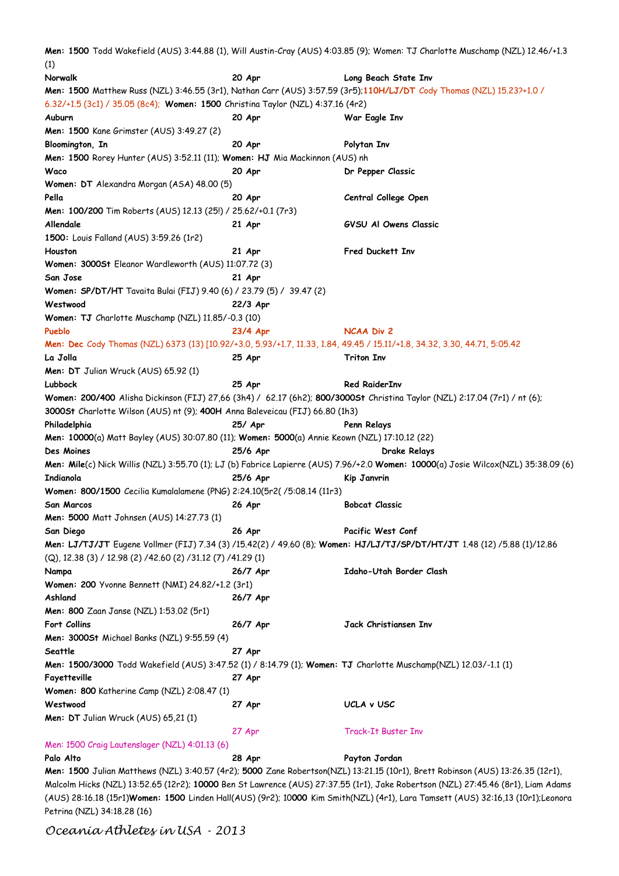**Men: 1500** Todd Wakefield (AUS) 3:44.88 (1), Will Austin-Cray (AUS) 4:03.85 (9); Women: TJ Charlotte Muschamp (NZL) 12.46/+1.3 (1) **Norwalk 20 Apr Long Beach State Inv Men: 1500** Matthew Russ (NZL) 3:46.55 (3r1), Nathan Carr (AUS) 3:57.59 (3r5);**110H/LJ/DT** Cody Thomas (NZL) 15.23?+1.0 / 6.32/+1.5 (3c1) / 35.05 (8c4); **Women: 1500** Christina Taylor (NZL) 4:37.16 (4r2) **Auburn 20 Apr War Eagle Inv Men: 1500** Kane Grimster (AUS) 3:49.27 (2) **Bloomington, In 20 Apr Polytan Inv Men: 1500** Rorey Hunter (AUS) 3:52.11 (11); **Women: HJ** Mia Mackinnon (AUS) nh **Waco 20 Apr Dr Pepper Classic Women: DT** Alexandra Morgan (ASA) 48.00 (5) **Pella 20 Apr Central College Open Men: 100/200** Tim Roberts (AUS) 12.13 (25!) / 25.62/+0.1 (7r3) **Allendale 21 Apr GVSU Al Owens Classic 1500:** Louis Falland (AUS) 3:59.26 (1r2) **Houston 21 Apr Fred Duckett Inv Women: 3000St** Eleanor Wardleworth (AUS) 11:07.72 (3) **San Jose 21 Apr Women: SP/DT/HT** Tavaita Bulai (FIJ) 9.40 (6) / 23.79 (5) / 39.47 (2) **Westwood 22/3 Apr Women: TJ** Charlotte Muschamp (NZL) 11.85/-0.3 (10) **Pueblo 23/4 Apr NCAA Div 2 Men: Dec** Cody Thomas (NZL) 6373 (13) [10.92/+3.0, 5.93/+1.7, 11.33, 1.84, 49.45 / 15.11/+1.8, 34.32, 3.30, 44.71, 5:05.42 **La Jolla 25 Apr Triton Inv Men: DT** Julian Wruck (AUS) 65.92 (1) **Lubbock 25 Apr Red RaiderInv Women: 200/400** Alisha Dickinson (FIJ) 27,66 (3h4) / 62.17 (6h2); **800/3000St** Christina Taylor (NZL) 2:17.04 (7r1) / nt (6); **3000St** Charlotte Wilson (AUS) nt (9); **400H** Anna Baleveicau (FIJ) 66.80 (1h3) **Philadelphia 25/ Apr Penn Relays Men: 10000**(a) Matt Bayley (AUS) 30:07.80 (11); **Women: 5000**(a) Annie Keown (NZL) 17:10.12 (22) **Des Moines 25/6 Apr Drake Relays Men: Mile**(c) Nick Willis (NZL) 3:55.70 (1); LJ (b) Fabrice Lapierre (AUS) 7.96/+2.0 **Women: 10000**(a) Josie Wilcox(NZL) 35:38.09 (6) **Indianola 25/6 Apr Kip Janvrin Women: 800/1500** Cecilia Kumalalamene (PNG) 2:24.10(5r2( /5:08.14 (11r3) **San Marcos 26 Apr Bobcat Classic Men: 5000** Matt Johnsen (AUS) 14:27.73 (1) **San Diego 26 Apr Pacific West Conf Men: LJ/TJ/JT** Eugene Vollmer (FIJ) 7.34 (3) /15.42(2) / 49.60 (8); **Women: HJ/LJ/TJ/SP/DT/HT/JT** 1.48 (12) /5.88 (1)/12.86 (Q), 12.38 (3) / 12.98 (2) /42.60 (2) /31.12 (7) /41.29 (1) **Nampa 26/7 Apr Idaho-Utah Border Clash Women: 200** Yvonne Bennett (NMI) 24.82/+1.2 (3r1) **Ashland 26/7 Apr Men: 800** Zaan Janse (NZL) 1:53.02 (5r1) **Fort Collins 26/7 Apr Jack Christiansen Inv Men: 3000St** Michael Banks (NZL) 9:55.59 (4) **Seattle 27 Apr Men: 1500/3000** Todd Wakefield (AUS) 3:47.52 (1) / 8:14.79 (1); **Women: TJ** Charlotte Muschamp(NZL) 12.03/-1.1 (1) **Fayetteville 27 Apr Women: 800** Katherine Camp (NZL) 2:08.47 (1) **Westwood 27 Apr UCLA v USC Men: DT** Julian Wruck (AUS) 65,21 (1) 27 Apr Track-It Buster Inv Men: 1500 Craig Lautenslager (NZL) 4:01.13 (6) **Palo Alto 28 Apr Payton Jordan Men: 1500** Julian Matthews (NZL) 3:40.57 (4r2); **5000** Zane Robertson(NZL) 13:21.15 (10r1), Brett Robinson (AUS) 13:26.35 (12r1),

Malcolm Hicks (NZL) 13:52.65 (12r2); **10000** Ben St Lawrence (AUS) 27:37.55 (1r1), Jake Robertson (NZL) 27:45.46 (8r1), Liam Adams (AUS) 28:16.18 (15r1)**Women: 1500** Linden Hall(AUS) (9r2); 10**000** Kim Smith(NZL) (4r1), Lara Tamsett (AUS) 32:16,13 (10r1);Leonora Petrina (NZL) 34:18.28 (16)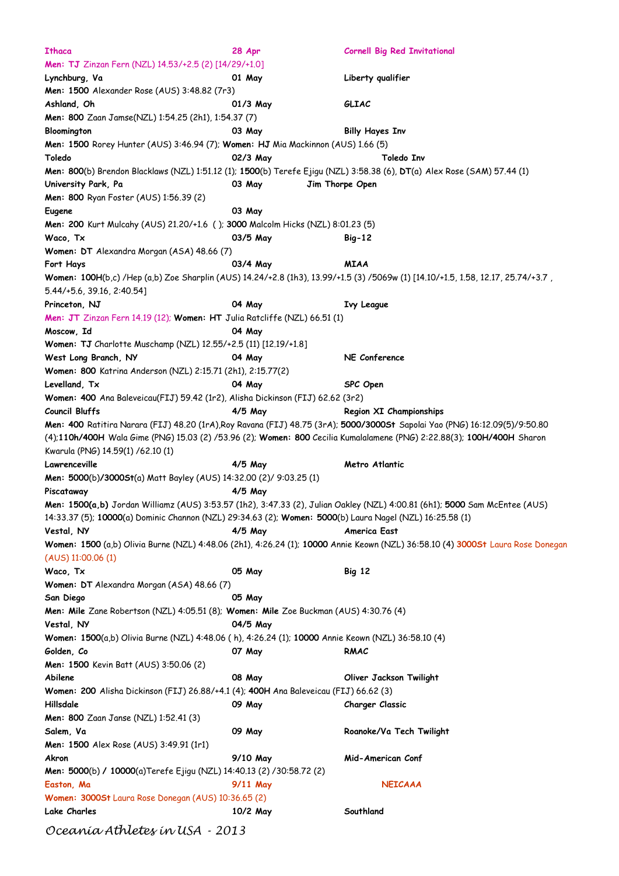| Ithaca                                                                                                   | 28 Apr    | <b>Cornell Big Red Invitational</b>                                                                                              |
|----------------------------------------------------------------------------------------------------------|-----------|----------------------------------------------------------------------------------------------------------------------------------|
| Men: TJ Zinzan Fern (NZL) 14.53/+2.5 (2) [14/29/+1.0]                                                    |           |                                                                                                                                  |
| Lynchburg, Va                                                                                            | 01 May    | Liberty qualifier                                                                                                                |
| <b>Men: 1500</b> Alexander Rose (AUS) 3:48.82 (7r3)                                                      |           |                                                                                                                                  |
| Ashland, Oh                                                                                              | 01/3 May  | GLIAC                                                                                                                            |
| Men: 800 Zaan Jamse(NZL) 1:54.25 (2h1), 1:54.37 (7)                                                      |           |                                                                                                                                  |
| Bloomington                                                                                              | 03 May    | <b>Billy Hayes Inv</b>                                                                                                           |
|                                                                                                          |           |                                                                                                                                  |
| Men: 1500 Rorey Hunter (AUS) 3:46.94 (7); Women: HJ Mia Mackinnon (AUS) 1.66 (5)                         |           |                                                                                                                                  |
| Toledo                                                                                                   | 02/3 May  | Toledo Inv                                                                                                                       |
|                                                                                                          |           | Men: 800(b) Brendon Blacklaws (NZL) 1:51.12 (1); 1500(b) Terefe Ejigu (NZL) 3:58.38 (6), DT(a) Alex Rose (SAM) 57.44 (1)         |
| University Park, Pa                                                                                      | 03 May    | Jim Thorpe Open                                                                                                                  |
| Men: 800 Ryan Foster (AUS) 1:56.39 (2)                                                                   |           |                                                                                                                                  |
| Eugene                                                                                                   | 03 May    |                                                                                                                                  |
| Men: 200 Kurt Mulcahy (AUS) 21.20/+1.6 (); 3000 Malcolm Hicks (NZL) 8:01.23 (5)                          |           |                                                                                                                                  |
| Waco, Tx                                                                                                 | 03/5 May  | $Big-12$                                                                                                                         |
| Women: DT Alexandra Morgan (ASA) 48.66 (7)                                                               |           |                                                                                                                                  |
| Fort Hays                                                                                                | 03/4 May  | <b>MIAA</b>                                                                                                                      |
|                                                                                                          |           | Women: 100H(b,c) /Hep (a,b) Zoe Sharplin (AUS) 14.24/+2.8 (1h3), 13.99/+1.5 (3) /5069w (1) [14.10/+1.5, 1.58, 12.17, 25.74/+3.7, |
| 5.44/+5.6, 39.16, 2:40.54]                                                                               |           |                                                                                                                                  |
| Princeton, NJ                                                                                            | 04 May    | <b>Ivy League</b>                                                                                                                |
| Men: JT Zinzan Fern 14.19 (12); Women: HT Julia Ratcliffe (NZL) 66.51 (1)                                |           |                                                                                                                                  |
|                                                                                                          | 04 May    |                                                                                                                                  |
| Moscow, Id                                                                                               |           |                                                                                                                                  |
| Women: TJ Charlotte Muschamp (NZL) 12.55/+2.5 (11) [12.19/+1.8]                                          |           |                                                                                                                                  |
| West Long Branch, NY                                                                                     | 04 May    | NE Conference                                                                                                                    |
| Women: 800 Katrina Anderson (NZL) 2:15.71 (2h1), 2:15.77(2)                                              |           |                                                                                                                                  |
| Levelland, Tx                                                                                            | 04 May    | SPC Open                                                                                                                         |
| Women: 400 Ana Baleveicau(FIJ) 59.42 (1r2), Alisha Dickinson (FIJ) 62.62 (3r2)                           |           |                                                                                                                                  |
| Council Bluffs                                                                                           | $4/5$ May | Region XI Championships                                                                                                          |
|                                                                                                          |           | Men: 400 Ratitira Narara (FIJ) 48.20 (1rA), Roy Ravana (FIJ) 48.75 (3rA); 5000/30005t Sapolai Yao (PNG) 16:12.09(5)/9:50.80      |
|                                                                                                          |           | (4);110h/400H Wala Gime (PNG) 15.03 (2) /53.96 (2); Women: 800 Cecilia Kumalalamene (PNG) 2:22.88(3); 100H/400H Sharon           |
| Kwarula (PNG) 14.59(1) /62.10 (1)                                                                        |           |                                                                                                                                  |
| Lawrenceville                                                                                            | 4/5 May   | Metro Atlantic                                                                                                                   |
| Men: 5000(b)/3000St(a) Matt Bayley (AUS) 14:32.00 (2)/ 9:03.25 (1)                                       |           |                                                                                                                                  |
| Piscataway                                                                                               | $4/5$ May |                                                                                                                                  |
|                                                                                                          |           | Men: 1500(a,b) Jordan Williamz (AUS) 3:53.57 (1h2), 3:47.33 (2), Julian Oakley (NZL) 4:00.81 (6h1); 5000 Sam McEntee (AUS)       |
| 14:33.37 (5); 10000(a) Dominic Channon (NZL) 29:34.63 (2); Women: 5000(b) Laura Nagel (NZL) 16:25.58 (1) |           |                                                                                                                                  |
|                                                                                                          |           |                                                                                                                                  |
| Vestal, NY                                                                                               | $4/5$ May | America East                                                                                                                     |
|                                                                                                          |           | Women: 1500 (a,b) Olivia Burne (NZL) 4:48.06 (2h1), 4:26.24 (1); 10000 Annie Keown (NZL) 36:58.10 (4) 3000St Laura Rose Donegan  |
| $(AUS)$ 11:00.06 (1)                                                                                     |           |                                                                                                                                  |
| Waco, Tx                                                                                                 | 05 May    | <b>Big 12</b>                                                                                                                    |
| Women: DT Alexandra Morgan (ASA) 48.66 (7)                                                               |           |                                                                                                                                  |
| San Diego                                                                                                | 05 May    |                                                                                                                                  |
| Men: Mile Zane Robertson (NZL) 4:05.51 (8); Women: Mile Zoe Buckman (AUS) 4:30.76 (4)                    |           |                                                                                                                                  |
| Vestal, NY                                                                                               | 04/5 May  |                                                                                                                                  |
| Women: 1500(a,b) Olivia Burne (NZL) 4:48.06 (h), 4:26.24 (1); 10000 Annie Keown (NZL) 36:58.10 (4)       |           |                                                                                                                                  |
| Golden, Co                                                                                               | 07 May    | RMAC                                                                                                                             |
| Men: 1500 Kevin Batt (AUS) 3:50.06 (2)                                                                   |           |                                                                                                                                  |
| Abilene                                                                                                  | 08 May    | Oliver Jackson Twilight                                                                                                          |
| Women: 200 Alisha Dickinson (FIJ) 26.88/+4.1 (4); 400H Ana Baleveicau (FIJ) 66.62 (3)                    |           |                                                                                                                                  |
| Hillsdale                                                                                                |           |                                                                                                                                  |
|                                                                                                          | 09 May    | <b>Charger Classic</b>                                                                                                           |
| Men: 800 Zaan Janse (NZL) 1:52.41 (3)                                                                    |           |                                                                                                                                  |
| Salem, Va                                                                                                | 09 May    | Roanoke/Va Tech Twilight                                                                                                         |
| <b>Men: 1500</b> Alex Rose (AUS) 3:49.91 (1r1)                                                           |           |                                                                                                                                  |
| Akron                                                                                                    | 9/10 May  | Mid-American Conf                                                                                                                |
| <b>Men: 5000(b)/ 10000(a)Terefe Ejigu (NZL) 14:40.13 (2)/30:58.72 (2)</b>                                |           |                                                                                                                                  |
| Easton, Ma                                                                                               | 9/11 May  | <b>NEICAAA</b>                                                                                                                   |
| Women: 3000St Laura Rose Donegan (AUS) 10:36.65 (2)                                                      |           |                                                                                                                                  |
| Lake Charles                                                                                             | 10/2 May  | Southland                                                                                                                        |
|                                                                                                          |           |                                                                                                                                  |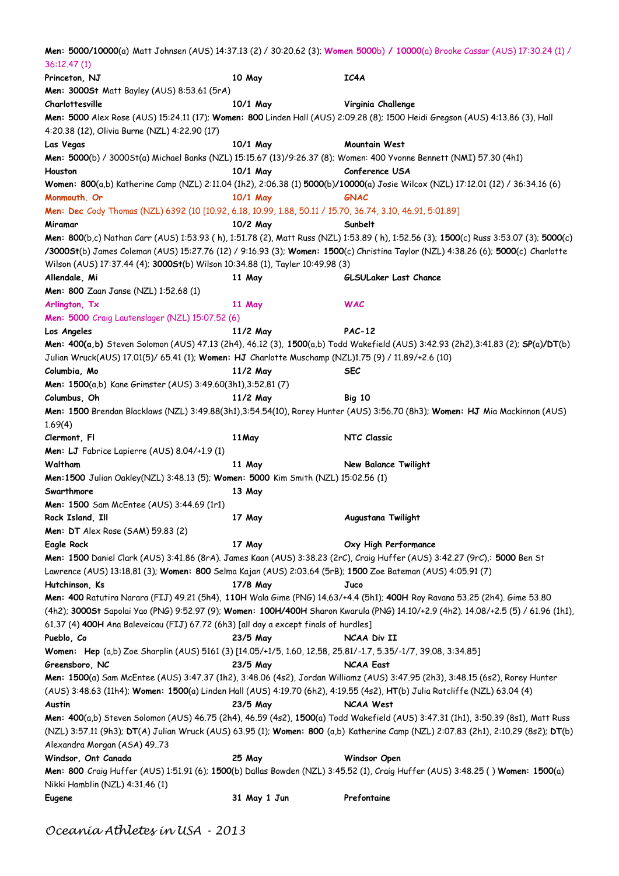|                                                                                                                     |              | <b>Men: 5000/10000</b> (a) Matt Johnsen (AUS) 14:37.13 (2) / 30:20.62 (3); <b>Women 5000</b> b) / 10000(a) Brooke Cassar (AUS) 17:30.24 (1) / |
|---------------------------------------------------------------------------------------------------------------------|--------------|-----------------------------------------------------------------------------------------------------------------------------------------------|
| 36:12.47 (1)                                                                                                        |              |                                                                                                                                               |
| Princeton, NJ                                                                                                       | 10 May       | IC4A                                                                                                                                          |
| <b>Men: 3000St</b> Matt Bayley (AUS) 8:53.61 (5rA)                                                                  |              |                                                                                                                                               |
| Charlottesville                                                                                                     | 10/1 May     | Virginia Challenge                                                                                                                            |
|                                                                                                                     |              | Men: 5000 Alex Rose (AUS) 15:24.11 (17); Women: 800 Linden Hall (AUS) 2:09.28 (8); 1500 Heidi Gregson (AUS) 4:13.86 (3), Hall                 |
| 4:20.38 (12), Olivia Burne (NZL) 4:22.90 (17)                                                                       |              |                                                                                                                                               |
| Las Vegas                                                                                                           | 10/1 May     | Mountain West                                                                                                                                 |
| Men: 5000(b) / 30005t(a) Michael Banks (NZL) 15:15.67 (13)/9:26.37 (8); Women: 400 Yvonne Bennett (NMI) 57.30 (4h1) |              |                                                                                                                                               |
| Houston                                                                                                             | 10/1 May     | Conference USA                                                                                                                                |
|                                                                                                                     |              | Women: 800(a,b) Katherine Camp (NZL) 2:11.04 (1h2), 2:06.38 (1) 5000(b)/10000(a) Josie Wilcox (NZL) 17:12.01 (12) / 36:34.16 (6)              |
|                                                                                                                     |              |                                                                                                                                               |
| Monmouth. Or                                                                                                        | 10/1 May     | GNAC                                                                                                                                          |
| Men: Dec Cody Thomas (NZL) 6392 (10 [10.92, 6.18, 10.99, 1.88, 50.11 / 15.70, 36.74, 3.10, 46.91, 5:01.89]          |              |                                                                                                                                               |
| Miramar                                                                                                             | 10/2 May     | Sunbelt                                                                                                                                       |
|                                                                                                                     |              | Men: 800(b,c) Nathan Carr (AUS) 1:53.93 (h), 1:51.78 (2), Matt Russ (NZL) 1:53.89 (h), 1:52.56 (3); 1500(c) Russ 3:53.07 (3); 5000(c)         |
|                                                                                                                     |              | /30005t(b) James Coleman (AUS) 15:27.76 (12) / 9:16.93 (3); Women: 1500(c) Christina Taylor (NZL) 4:38.26 (6); 5000(c) Charlotte              |
| Wilson (AUS) 17:37.44 (4); 30005t(b) Wilson 10:34.88 (1), Tayler 10:49.98 (3)                                       |              |                                                                                                                                               |
| Allendale, Mi                                                                                                       | 11 May       | GLSULaker Last Chance                                                                                                                         |
| Men: 800 Zaan Janse (NZL) 1:52.68 (1)                                                                               |              |                                                                                                                                               |
| Arlington, Tx                                                                                                       | 11 May       | WAC                                                                                                                                           |
| Men: 5000 Craig Lautenslager (NZL) 15:07.52 (6)                                                                     |              |                                                                                                                                               |
| Los Angeles                                                                                                         | 11/2 May     | <b>PAC-12</b>                                                                                                                                 |
|                                                                                                                     |              | Men: 400(a,b) Steven Solomon (AUS) 47.13 (2h4), 46.12 (3), 1500(a,b) Todd Wakefield (AUS) 3:42.93 (2h2),3:41.83 (2); SP(a)/DT(b)              |
| Julian Wruck(AUS) 17.01(5)/ 65.41 (1); Women: HJ Charlotte Muschamp (NZL)1.75 (9) / 11.89/+2.6 (10)                 |              |                                                                                                                                               |
| Columbia, Mo                                                                                                        | 11/2 May     | <b>SEC</b>                                                                                                                                    |
|                                                                                                                     |              |                                                                                                                                               |
| <b>Men: 1500</b> (a,b) Kane Grimster (AUS) 3:49.60(3h1),3:52.81 (7)                                                 |              |                                                                                                                                               |
| Columbus, Oh                                                                                                        | 11/2 May     | <b>Big 10</b>                                                                                                                                 |
|                                                                                                                     |              | Men: 1500 Brendan Blacklaws (NZL) 3:49.88(3h1),3:54.54(10), Rorey Hunter (AUS) 3:56.70 (8h3); Women: HJ Mia Mackinnon (AUS)                   |
| 1.69(4)                                                                                                             |              |                                                                                                                                               |
| Clermont, Fl                                                                                                        | 11 May       | NTC Classic                                                                                                                                   |
| Men: LJ Fabrice Lapierre (AUS) 8.04/+1.9 (1)                                                                        |              |                                                                                                                                               |
| Waltham                                                                                                             | 11 May       | New Balance Twilight                                                                                                                          |
| Men: 1500 Julian Oakley(NZL) 3:48.13 (5); Women: 5000 Kim Smith (NZL) 15:02.56 (1)                                  |              |                                                                                                                                               |
| Swarthmore                                                                                                          | 13 May       |                                                                                                                                               |
| Men: 1500 Sam McEntee (AUS) 3:44.69 (1r1)                                                                           |              |                                                                                                                                               |
| Rock Island, Ill                                                                                                    | 17 May       | Augustana Twilight                                                                                                                            |
| <b>Men: DT</b> Alex Rose (SAM) 59.83 (2)                                                                            |              |                                                                                                                                               |
| Eagle Rock                                                                                                          | 17 May       | Oxy High Performance                                                                                                                          |
|                                                                                                                     |              | Men: 1500 Daniel Clark (AUS) 3:41.86 (8rA). James Kaan (AUS) 3:38.23 (2rC), Craig Huffer (AUS) 3:42.27 (9rC),: 5000 Ben St                    |
| Lawrence (AUS) 13:18.81 (3); Women: 800 Selma Kajan (AUS) 2:03.64 (5rB); 1500 Zoe Bateman (AUS) 4:05.91 (7)         |              |                                                                                                                                               |
| Hutchinson, Ks                                                                                                      | 17/8 May     |                                                                                                                                               |
|                                                                                                                     |              | Juco                                                                                                                                          |
|                                                                                                                     |              | Men: 400 Ratutira Narara (FIJ) 49.21 (5h4), 110H Wala Gime (PNG) 14.63/+4.4 (5h1); 400H Roy Ravana 53.25 (2h4). Gime 53.80                    |
|                                                                                                                     |              | (4h2); 3000St Sapolai Yao (PNG) 9:52.97 (9); Women: 100H/400H Sharon Kwarula (PNG) 14.10/+2.9 (4h2). 14.08/+2.5 (5) / 61.96 (1h1),            |
| 61.37 (4) 400H Ana Baleveicau (FIJ) 67.72 (6h3) [all day a except finals of hurdles]                                |              |                                                                                                                                               |
| Pueblo, Co                                                                                                          | 23/5 May     | NCAA Div II                                                                                                                                   |
| Women: Hep (a,b) Zoe Sharplin (AUS) 5161 (3) [14.05/+1/5, 1.60, 12.58, 25.81/-1.7, 5.35/-1/7, 39.08, 3:34.85]       |              |                                                                                                                                               |
| Greensboro, NC                                                                                                      | 23/5 May     | NCAA East                                                                                                                                     |
|                                                                                                                     |              | Men: 1500(a) Sam McEntee (AUS) 3:47.37 (1h2), 3:48.06 (4s2), Jordan Williamz (AUS) 3:47.95 (2h3), 3:48.15 (6s2), Rorey Hunter                 |
|                                                                                                                     |              | (AUS) 3:48.63 (11h4); Women: 1500(a) Linden Hall (AUS) 4:19.70 (6h2), 4:19.55 (4s2), HT(b) Julia Ratcliffe (NZL) 63.04 (4)                    |
| Austin                                                                                                              | 23/5 May     | NCAA West                                                                                                                                     |
|                                                                                                                     |              | Men: 400(a,b) Steven Solomon (AUS) 46.75 (2h4), 46.59 (4s2), 1500(a) Todd Wakefield (AUS) 3:47.31 (1h1), 3:50.39 (8s1), Matt Russ             |
|                                                                                                                     |              | (NZL) 3:57.11 (9h3); DT(A) Julian Wruck (AUS) 63.95 (1); Women: 800 (a,b) Katherine Camp (NZL) 2:07.83 (2h1), 2:10.29 (8s2); DT(b)            |
| Alexandra Morgan (ASA) 49.73                                                                                        |              |                                                                                                                                               |
| Windsor, Ont Canada                                                                                                 | $25$ May     | Windsor Open                                                                                                                                  |
|                                                                                                                     |              | Men: 800 Craig Huffer (AUS) 1:51.91 (6); 1500(b) Dallas Bowden (NZL) 3:45.52 (1), Craig Huffer (AUS) 3:48.25 () Women: 1500(a)                |
|                                                                                                                     |              |                                                                                                                                               |
| Nikki Hamblin (NZL) 4:31.46 (1)<br>Eugene                                                                           |              |                                                                                                                                               |
|                                                                                                                     | 31 May 1 Jun | Prefontaine                                                                                                                                   |